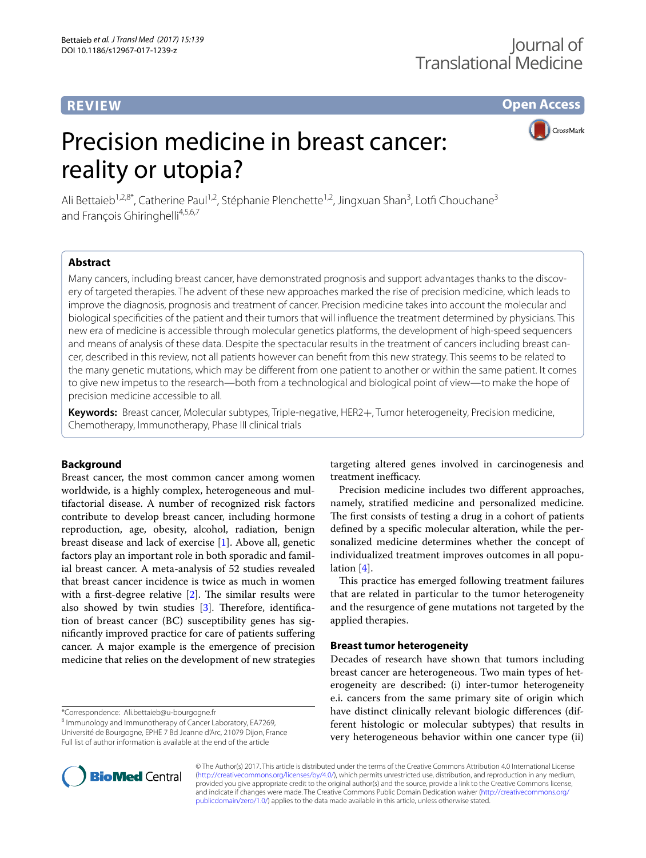# **REVIEW**

**Open Access**

# Precision medicine in breast cancer: reality or utopia?

**CrossMark** 

Ali Bettaieb<sup>1,2,8\*</sup>, Catherine Paul<sup>1,2</sup>, Stéphanie Plenchette<sup>1,2</sup>, Jingxuan Shan<sup>3</sup>, Lotfi Chouchane<sup>3</sup> and François Ghiringhelli<sup>4,5,6,7</sup>

## **Abstract**

Many cancers, including breast cancer, have demonstrated prognosis and support advantages thanks to the discovery of targeted therapies. The advent of these new approaches marked the rise of precision medicine, which leads to improve the diagnosis, prognosis and treatment of cancer. Precision medicine takes into account the molecular and biological specifcities of the patient and their tumors that will infuence the treatment determined by physicians. This new era of medicine is accessible through molecular genetics platforms, the development of high-speed sequencers and means of analysis of these data. Despite the spectacular results in the treatment of cancers including breast cancer, described in this review, not all patients however can beneft from this new strategy. This seems to be related to the many genetic mutations, which may be diferent from one patient to another or within the same patient. It comes to give new impetus to the research—both from a technological and biological point of view—to make the hope of precision medicine accessible to all.

**Keywords:** Breast cancer, Molecular subtypes, Triple-negative, HER2+, Tumor heterogeneity, Precision medicine, Chemotherapy, Immunotherapy, Phase III clinical trials

## **Background**

Breast cancer, the most common cancer among women worldwide, is a highly complex, heterogeneous and multifactorial disease. A number of recognized risk factors contribute to develop breast cancer, including hormone reproduction, age, obesity, alcohol, radiation, benign breast disease and lack of exercise [[1\]](#page-8-0). Above all, genetic factors play an important role in both sporadic and familial breast cancer. A meta-analysis of 52 studies revealed that breast cancer incidence is twice as much in women with a first-degree relative  $[2]$  $[2]$ . The similar results were also showed by twin studies  $[3]$  $[3]$ . Therefore, identification of breast cancer (BC) susceptibility genes has signifcantly improved practice for care of patients sufering cancer. A major example is the emergence of precision medicine that relies on the development of new strategies

\*Correspondence: Ali.bettaieb@u-bourgogne.fr 8

<sup>8</sup> Immunology and Immunotherapy of Cancer Laboratory, EA7269, Université de Bourgogne, EPHE 7 Bd Jeanne d'Arc, 21079 Dijon, France Full list of author information is available at the end of the article

targeting altered genes involved in carcinogenesis and treatment inefficacy.

Precision medicine includes two diferent approaches, namely, stratifed medicine and personalized medicine. The first consists of testing a drug in a cohort of patients defned by a specifc molecular alteration, while the personalized medicine determines whether the concept of individualized treatment improves outcomes in all population [[4\]](#page-8-3).

This practice has emerged following treatment failures that are related in particular to the tumor heterogeneity and the resurgence of gene mutations not targeted by the applied therapies.

## **Breast tumor heterogeneity**

Decades of research have shown that tumors including breast cancer are heterogeneous. Two main types of heterogeneity are described: (i) inter-tumor heterogeneity e.i. cancers from the same primary site of origin which have distinct clinically relevant biologic diferences (different histologic or molecular subtypes) that results in very heterogeneous behavior within one cancer type (ii)



© The Author(s) 2017. This article is distributed under the terms of the Creative Commons Attribution 4.0 International License [\(http://creativecommons.org/licenses/by/4.0/\)](http://creativecommons.org/licenses/by/4.0/), which permits unrestricted use, distribution, and reproduction in any medium, provided you give appropriate credit to the original author(s) and the source, provide a link to the Creative Commons license, and indicate if changes were made. The Creative Commons Public Domain Dedication waiver ([http://creativecommons.org/](http://creativecommons.org/publicdomain/zero/1.0/) [publicdomain/zero/1.0/](http://creativecommons.org/publicdomain/zero/1.0/)) applies to the data made available in this article, unless otherwise stated.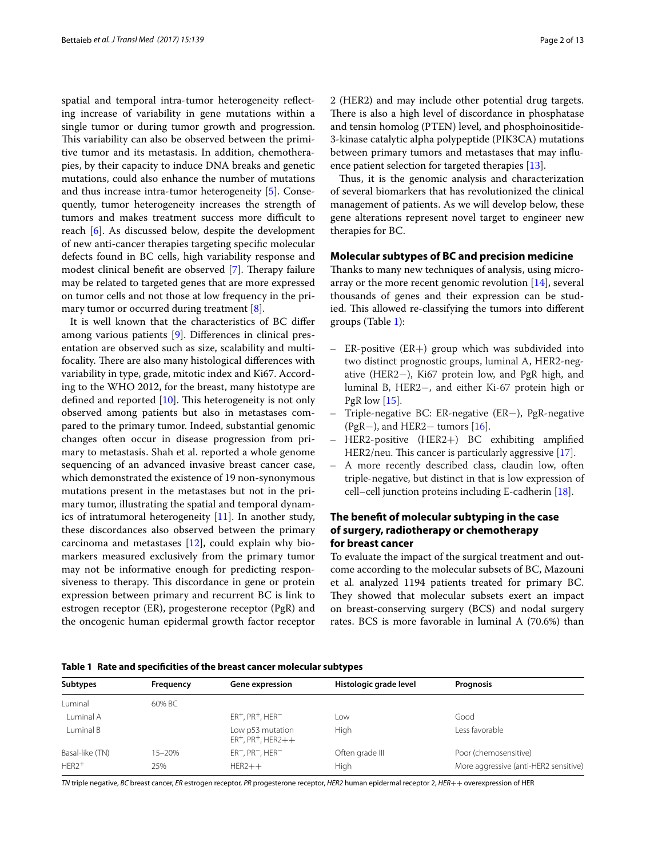spatial and temporal intra-tumor heterogeneity refecting increase of variability in gene mutations within a single tumor or during tumor growth and progression. This variability can also be observed between the primitive tumor and its metastasis. In addition, chemotherapies, by their capacity to induce DNA breaks and genetic mutations, could also enhance the number of mutations and thus increase intra-tumor heterogeneity [[5\]](#page-8-4). Consequently, tumor heterogeneity increases the strength of tumors and makes treatment success more difficult to reach [\[6](#page-8-5)]. As discussed below, despite the development of new anti-cancer therapies targeting specifc molecular defects found in BC cells, high variability response and modest clinical benefit are observed [\[7](#page-8-6)]. Therapy failure may be related to targeted genes that are more expressed on tumor cells and not those at low frequency in the pri-mary tumor or occurred during treatment [[8\]](#page-8-7).

It is well known that the characteristics of BC difer among various patients [\[9](#page-8-8)]. Diferences in clinical presentation are observed such as size, scalability and multifocality. There are also many histological differences with variability in type, grade, mitotic index and Ki67. According to the WHO 2012, for the breast, many histotype are defined and reported  $[10]$  $[10]$ . This heterogeneity is not only observed among patients but also in metastases compared to the primary tumor. Indeed, substantial genomic changes often occur in disease progression from primary to metastasis. Shah et al. reported a whole genome sequencing of an advanced invasive breast cancer case, which demonstrated the existence of 19 non-synonymous mutations present in the metastases but not in the primary tumor, illustrating the spatial and temporal dynamics of intratumoral heterogeneity [[11](#page-8-10)]. In another study, these discordances also observed between the primary carcinoma and metastases [\[12](#page-8-11)], could explain why biomarkers measured exclusively from the primary tumor may not be informative enough for predicting responsiveness to therapy. This discordance in gene or protein expression between primary and recurrent BC is link to estrogen receptor (ER), progesterone receptor (PgR) and the oncogenic human epidermal growth factor receptor 2 (HER2) and may include other potential drug targets. There is also a high level of discordance in phosphatase and tensin homolog (PTEN) level, and phosphoinositide-3-kinase catalytic alpha polypeptide (PIK3CA) mutations between primary tumors and metastases that may infu-ence patient selection for targeted therapies [\[13](#page-8-12)].

Thus, it is the genomic analysis and characterization of several biomarkers that has revolutionized the clinical management of patients. As we will develop below, these gene alterations represent novel target to engineer new therapies for BC.

#### **Molecular subtypes of BC and precision medicine**

Thanks to many new techniques of analysis, using microarray or the more recent genomic revolution [[14](#page-8-13)], several thousands of genes and their expression can be studied. This allowed re-classifying the tumors into different groups (Table [1\)](#page-1-0):

- ER-positive (ER+) group which was subdivided into two distinct prognostic groups, luminal A, HER2-negative (HER2−), Ki67 protein low, and PgR high, and luminal B, HER2−, and either Ki-67 protein high or PgR low  $[15]$  $[15]$ .
- –– Triple-negative BC: ER-negative (ER−), PgR-negative (PgR−), and HER2− tumors [[16](#page-8-15)].
- –– HER2-positive (HER2+) BC exhibiting amplifed HER2/neu. This cancer is particularly aggressive  $[17]$ .
- –– A more recently described class, claudin low, often triple-negative, but distinct in that is low expression of cell–cell junction proteins including E-cadherin [\[18\]](#page-8-17).

## **The beneft of molecular subtyping in the case of surgery, radiotherapy or chemotherapy for breast cancer**

To evaluate the impact of the surgical treatment and outcome according to the molecular subsets of BC, Mazouni et al. analyzed 1194 patients treated for primary BC. They showed that molecular subsets exert an impact on breast-conserving surgery (BCS) and nodal surgery rates. BCS is more favorable in luminal A (70.6%) than

<span id="page-1-0"></span>

| <b>Subtypes</b> | Frequency  | Gene expression                                | Histologic grade level | <b>Prognosis</b>                      |
|-----------------|------------|------------------------------------------------|------------------------|---------------------------------------|
| Luminal         | 60% BC     |                                                |                        |                                       |
| Luminal A       |            | $ER^+$ , PR <sup>+</sup> , HER <sup>-</sup>    | Low                    | Good                                  |
| Luminal B       |            | Low p53 mutation<br>$ER^+$ , $PR^+$ , $HER2++$ | High                   | Less favorable                        |
| Basal-like (TN) | $15 - 20%$ | $ER^-$ , $PR^-$ , $HER^-$                      | Often grade III        | Poor (chemosensitive)                 |
| $HER2+$         | 25%        | $HER2++$                                       | High                   | More aggressive (anti-HER2 sensitive) |

*TN* triple negative, *BC* breast cancer, *ER* estrogen receptor, *PR* progesterone receptor, *HER2* human epidermal receptor 2, *HER*++ overexpression of HER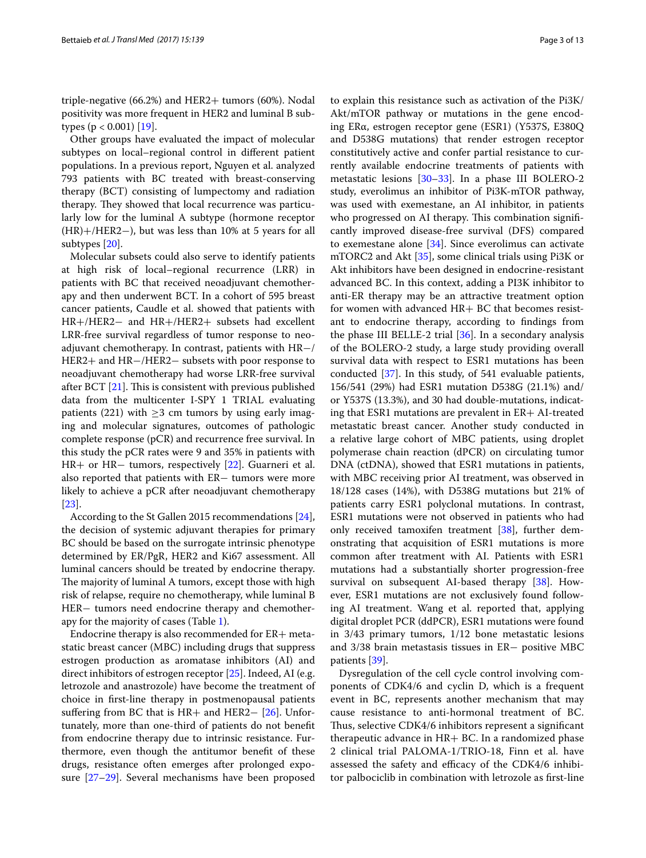triple-negative (66.2%) and HER2+ tumors (60%). Nodal positivity was more frequent in HER2 and luminal B subtypes ( $p < 0.001$ ) [[19](#page-8-18)].

Other groups have evaluated the impact of molecular subtypes on local–regional control in diferent patient populations. In a previous report, Nguyen et al. analyzed 793 patients with BC treated with breast-conserving therapy (BCT) consisting of lumpectomy and radiation therapy. They showed that local recurrence was particularly low for the luminal A subtype (hormone receptor (HR)+/HER2−), but was less than 10% at 5 years for all subtypes [\[20\]](#page-8-19).

Molecular subsets could also serve to identify patients at high risk of local–regional recurrence (LRR) in patients with BC that received neoadjuvant chemotherapy and then underwent BCT. In a cohort of 595 breast cancer patients, Caudle et al. showed that patients with HR+/HER2− and HR+/HER2+ subsets had excellent LRR-free survival regardless of tumor response to neoadjuvant chemotherapy. In contrast, patients with HR−/ HER2+ and HR−/HER2− subsets with poor response to neoadjuvant chemotherapy had worse LRR-free survival after BCT  $[21]$  $[21]$ . This is consistent with previous published data from the multicenter I-SPY 1 TRIAL evaluating patients (221) with  $\geq$ 3 cm tumors by using early imaging and molecular signatures, outcomes of pathologic complete response (pCR) and recurrence free survival. In this study the pCR rates were 9 and 35% in patients with HR+ or HR− tumors, respectively [[22\]](#page-9-0). Guarneri et al. also reported that patients with ER− tumors were more likely to achieve a pCR after neoadjuvant chemotherapy [[23\]](#page-9-1).

According to the St Gallen 2015 recommendations [\[24](#page-9-2)], the decision of systemic adjuvant therapies for primary BC should be based on the surrogate intrinsic phenotype determined by ER/PgR, HER2 and Ki67 assessment. All luminal cancers should be treated by endocrine therapy. The majority of luminal A tumors, except those with high risk of relapse, require no chemotherapy, while luminal B HER− tumors need endocrine therapy and chemotherapy for the majority of cases (Table [1](#page-1-0)).

Endocrine therapy is also recommended for  $ER + meta$ static breast cancer (MBC) including drugs that suppress estrogen production as aromatase inhibitors (AI) and direct inhibitors of estrogen receptor [\[25](#page-9-3)]. Indeed, AI (e.g. letrozole and anastrozole) have become the treatment of choice in frst-line therapy in postmenopausal patients suffering from BC that is HR+ and HER2− [[26](#page-9-4)]. Unfortunately, more than one-third of patients do not beneft from endocrine therapy due to intrinsic resistance. Furthermore, even though the antitumor beneft of these drugs, resistance often emerges after prolonged exposure [\[27](#page-9-5)[–29\]](#page-9-6). Several mechanisms have been proposed to explain this resistance such as activation of the Pi3K/ Akt/mTOR pathway or mutations in the gene encoding ERα, estrogen receptor gene (ESR1) (Y537S, E380Q and D538G mutations) that render estrogen receptor constitutively active and confer partial resistance to currently available endocrine treatments of patients with metastatic lesions [\[30](#page-9-7)[–33\]](#page-9-8). In a phase III BOLERO-2 study, everolimus an inhibitor of Pi3K-mTOR pathway, was used with exemestane, an AI inhibitor, in patients who progressed on AI therapy. This combination significantly improved disease-free survival (DFS) compared to exemestane alone [\[34](#page-9-9)]. Since everolimus can activate mTORC2 and Akt [\[35](#page-9-10)], some clinical trials using Pi3K or Akt inhibitors have been designed in endocrine-resistant advanced BC. In this context, adding a PI3K inhibitor to anti-ER therapy may be an attractive treatment option for women with advanced HR+ BC that becomes resistant to endocrine therapy, according to fndings from the phase III BELLE-2 trial [[36\]](#page-9-11). In a secondary analysis of the BOLERO-2 study, a large study providing overall survival data with respect to ESR1 mutations has been conducted [[37](#page-9-12)]. In this study, of 541 evaluable patients, 156/541 (29%) had ESR1 mutation D538G (21.1%) and/ or Y537S (13.3%), and 30 had double-mutations, indicating that ESR1 mutations are prevalent in ER+ AI-treated metastatic breast cancer. Another study conducted in a relative large cohort of MBC patients, using droplet polymerase chain reaction (dPCR) on circulating tumor DNA (ctDNA), showed that ESR1 mutations in patients, with MBC receiving prior AI treatment, was observed in 18/128 cases (14%), with D538G mutations but 21% of patients carry ESR1 polyclonal mutations. In contrast, ESR1 mutations were not observed in patients who had only received tamoxifen treatment [\[38](#page-9-13)], further demonstrating that acquisition of ESR1 mutations is more common after treatment with AI. Patients with ESR1 mutations had a substantially shorter progression-free survival on subsequent AI-based therapy [\[38](#page-9-13)]. However, ESR1 mutations are not exclusively found following AI treatment. Wang et al. reported that, applying digital droplet PCR (ddPCR), ESR1 mutations were found in 3/43 primary tumors, 1/12 bone metastatic lesions and 3/38 brain metastasis tissues in ER− positive MBC patients [[39\]](#page-9-14).

Dysregulation of the cell cycle control involving components of CDK4/6 and cyclin D, which is a frequent event in BC, represents another mechanism that may cause resistance to anti-hormonal treatment of BC. Thus, selective CDK4/6 inhibitors represent a significant therapeutic advance in HR+ BC. In a randomized phase 2 clinical trial PALOMA-1/TRIO-18, Finn et al. have assessed the safety and efficacy of the CDK4/6 inhibitor palbociclib in combination with letrozole as frst-line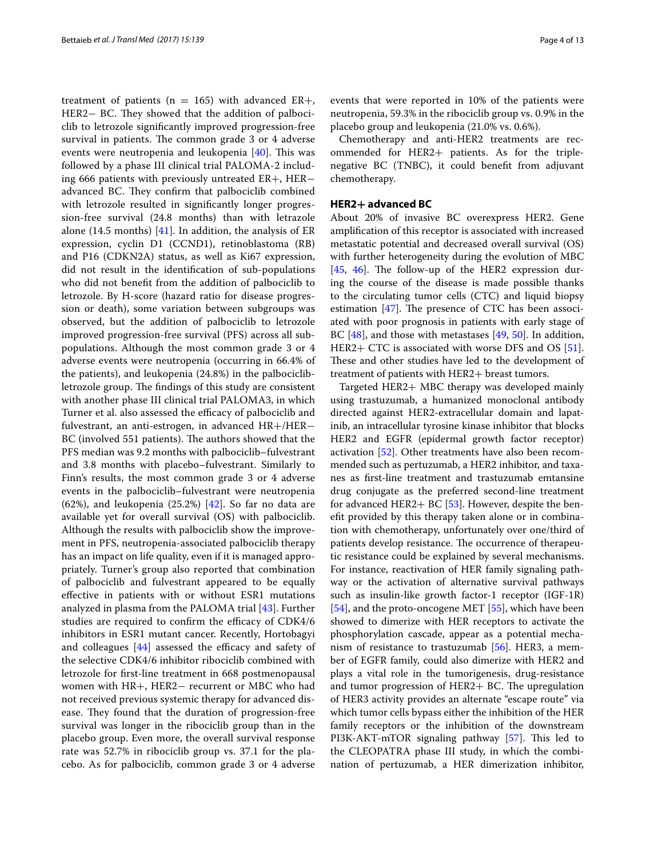treatment of patients ( $n = 165$ ) with advanced ER+, HER2− BC. They showed that the addition of palbociclib to letrozole signifcantly improved progression-free survival in patients. The common grade 3 or 4 adverse events were neutropenia and leukopenia  $[40]$  $[40]$ . This was followed by a phase III clinical trial PALOMA-2 including 666 patients with previously untreated ER+, HER− advanced BC. They confirm that palbociclib combined with letrozole resulted in significantly longer progression-free survival (24.8 months) than with letrazole alone (14.5 months) [\[41](#page-9-16)]. In addition, the analysis of  $ER$ expression, cyclin D1 (CCND1), retinoblastoma (RB) and P16 (CDKN2A) status, as well as Ki67 expression, did not result in the identifcation of sub-populations who did not beneft from the addition of palbociclib to letrozole. By H-score (hazard ratio for disease progression or death), some variation between subgroups was observed, but the addition of palbociclib to letrozole improved progression-free survival (PFS) across all subpopulations. Although the most common grade 3 or 4 adverse events were neutropenia (occurring in 66.4% of the patients), and leukopenia (24.8%) in the palbociclibletrozole group. The findings of this study are consistent with another phase III clinical trial PALOMA3, in which Turner et al. also assessed the efficacy of palbociclib and fulvestrant, an anti-estrogen, in advanced HR+/HER− BC (involved 551 patients). The authors showed that the PFS median was 9.2 months with palbociclib–fulvestrant and 3.8 months with placebo–fulvestrant. Similarly to Finn's results, the most common grade 3 or 4 adverse events in the palbociclib–fulvestrant were neutropenia (62%), and leukopenia (25.2%) [[42](#page-9-17)]. So far no data are available yet for overall survival (OS) with palbociclib. Although the results with palbociclib show the improvement in PFS, neutropenia-associated palbociclib therapy has an impact on life quality, even if it is managed appropriately. Turner's group also reported that combination of palbociclib and fulvestrant appeared to be equally efective in patients with or without ESR1 mutations analyzed in plasma from the PALOMA trial [[43\]](#page-9-18). Further studies are required to confirm the efficacy of CDK4/6 inhibitors in ESR1 mutant cancer. Recently, Hortobagyi and colleagues  $[44]$  $[44]$  assessed the efficacy and safety of the selective CDK4/6 inhibitor ribociclib combined with letrozole for frst-line treatment in 668 postmenopausal women with HR+, HER2− recurrent or MBC who had not received previous systemic therapy for advanced disease. They found that the duration of progression-free survival was longer in the ribociclib group than in the placebo group. Even more, the overall survival response rate was 52.7% in ribociclib group vs. 37.1 for the placebo. As for palbociclib, common grade 3 or 4 adverse

events that were reported in 10% of the patients were neutropenia, 59.3% in the ribociclib group vs. 0.9% in the placebo group and leukopenia (21.0% vs. 0.6%).

Chemotherapy and anti-HER2 treatments are recommended for HER2+ patients. As for the triplenegative BC (TNBC), it could beneft from adjuvant chemotherapy.

#### **HER2+ advanced BC**

About 20% of invasive BC overexpress HER2. Gene amplifcation of this receptor is associated with increased metastatic potential and decreased overall survival (OS) with further heterogeneity during the evolution of MBC [[45,](#page-9-20) [46](#page-9-21)]. The follow-up of the HER2 expression during the course of the disease is made possible thanks to the circulating tumor cells (CTC) and liquid biopsy estimation  $[47]$ . The presence of CTC has been associated with poor prognosis in patients with early stage of BC [[48\]](#page-9-23), and those with metastases [\[49](#page-9-24), [50](#page-9-25)]. In addition, HER2+ CTC is associated with worse DFS and OS [\[51](#page-9-26)]. These and other studies have led to the development of treatment of patients with HER2+ breast tumors.

Targeted HER2+ MBC therapy was developed mainly using trastuzumab, a humanized monoclonal antibody directed against HER2-extracellular domain and lapatinib, an intracellular tyrosine kinase inhibitor that blocks HER2 and EGFR (epidermal growth factor receptor) activation [\[52](#page-9-27)]. Other treatments have also been recommended such as pertuzumab, a HER2 inhibitor, and taxanes as frst-line treatment and trastuzumab emtansine drug conjugate as the preferred second-line treatment for advanced HER2+ BC [\[53](#page-9-28)]. However, despite the beneft provided by this therapy taken alone or in combination with chemotherapy, unfortunately over one/third of patients develop resistance. The occurrence of therapeutic resistance could be explained by several mechanisms. For instance, reactivation of HER family signaling pathway or the activation of alternative survival pathways such as insulin-like growth factor-1 receptor (IGF-1R) [[54\]](#page-9-29), and the proto-oncogene MET [[55\]](#page-10-0), which have been showed to dimerize with HER receptors to activate the phosphorylation cascade, appear as a potential mechanism of resistance to trastuzumab [\[56\]](#page-10-1). HER3, a member of EGFR family, could also dimerize with HER2 and plays a vital role in the tumorigenesis, drug-resistance and tumor progression of HER2+ BC. The upregulation of HER3 activity provides an alternate "escape route" via which tumor cells bypass either the inhibition of the HER family receptors or the inhibition of the downstream PI3K-AKT-mTOR signaling pathway [\[57\]](#page-10-2). This led to the CLEOPATRA phase III study, in which the combination of pertuzumab, a HER dimerization inhibitor,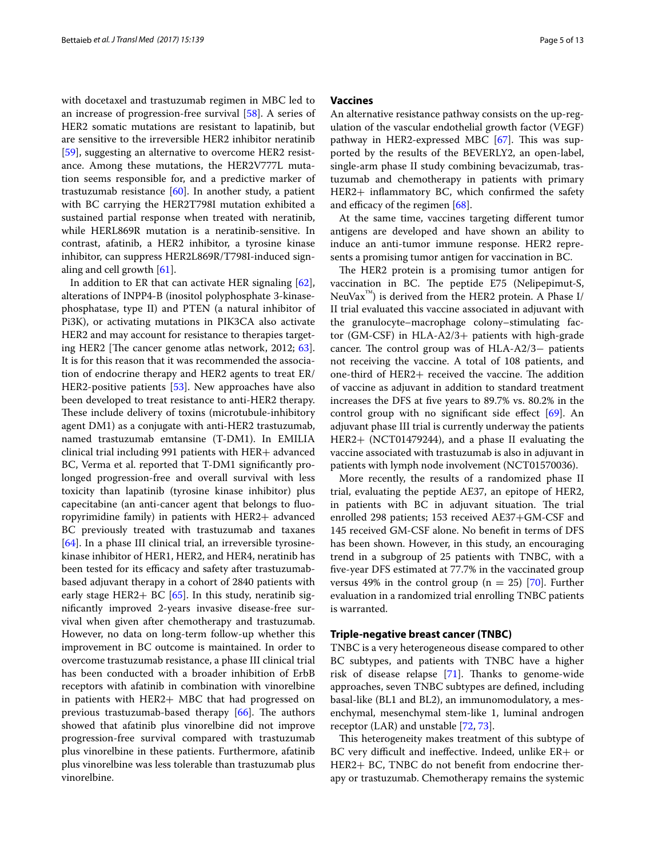with docetaxel and trastuzumab regimen in MBC led to an increase of progression-free survival [\[58](#page-10-3)]. A series of HER2 somatic mutations are resistant to lapatinib, but are sensitive to the irreversible HER2 inhibitor neratinib [[59\]](#page-10-4), suggesting an alternative to overcome HER2 resistance. Among these mutations, the HER2V777L mutation seems responsible for, and a predictive marker of trastuzumab resistance [\[60](#page-10-5)]. In another study, a patient with BC carrying the HER2T798I mutation exhibited a sustained partial response when treated with neratinib, while HERL869R mutation is a neratinib-sensitive. In contrast, afatinib, a HER2 inhibitor, a tyrosine kinase inhibitor, can suppress HER2L869R/T798I-induced signaling and cell growth [\[61](#page-10-6)].

In addition to ER that can activate HER signaling [\[62](#page-10-7)], alterations of INPP4-B (inositol polyphosphate 3-kinasephosphatase, type II) and PTEN (a natural inhibitor of Pi3K), or activating mutations in PIK3CA also activate HER2 and may account for resistance to therapies targeting HER2 [The cancer genome atlas network,  $2012; 63$  $2012; 63$ ]. It is for this reason that it was recommended the association of endocrine therapy and HER2 agents to treat ER/ HER2-positive patients [[53\]](#page-9-28). New approaches have also been developed to treat resistance to anti-HER2 therapy. These include delivery of toxins (microtubule-inhibitory agent DM1) as a conjugate with anti-HER2 trastuzumab, named trastuzumab emtansine (T-DM1). In EMILIA clinical trial including 991 patients with HER+ advanced BC, Verma et al. reported that T-DM1 signifcantly prolonged progression-free and overall survival with less toxicity than lapatinib (tyrosine kinase inhibitor) plus capecitabine (an anti-cancer agent that belongs to fuoropyrimidine family) in patients with HER2+ advanced BC previously treated with trastuzumab and taxanes [[64\]](#page-10-9). In a phase III clinical trial, an irreversible tyrosinekinase inhibitor of HER1, HER2, and HER4, neratinib has been tested for its efficacy and safety after trastuzumabbased adjuvant therapy in a cohort of 2840 patients with early stage HER2+ BC  $[65]$  $[65]$ . In this study, neratinib signifcantly improved 2-years invasive disease-free survival when given after chemotherapy and trastuzumab. However, no data on long-term follow-up whether this improvement in BC outcome is maintained. In order to overcome trastuzumab resistance, a phase III clinical trial has been conducted with a broader inhibition of ErbB receptors with afatinib in combination with vinorelbine in patients with HER2+ MBC that had progressed on previous trastuzumab-based therapy  $[66]$  $[66]$ . The authors showed that afatinib plus vinorelbine did not improve progression-free survival compared with trastuzumab plus vinorelbine in these patients. Furthermore, afatinib plus vinorelbine was less tolerable than trastuzumab plus vinorelbine.

## **Vaccines**

An alternative resistance pathway consists on the up-regulation of the vascular endothelial growth factor (VEGF) pathway in HER2-expressed MBC  $[67]$  $[67]$  $[67]$ . This was supported by the results of the BEVERLY2, an open-label, single-arm phase II study combining bevacizumab, trastuzumab and chemotherapy in patients with primary HER2+ infammatory BC, which confrmed the safety and efficacy of the regimen  $[68]$  $[68]$ .

At the same time, vaccines targeting diferent tumor antigens are developed and have shown an ability to induce an anti-tumor immune response. HER2 represents a promising tumor antigen for vaccination in BC.

The HER2 protein is a promising tumor antigen for vaccination in BC. The peptide E75 (Nelipepimut-S, NeuVax $^{\prime\prime\prime}$ ) is derived from the HER2 protein. A Phase I/ II trial evaluated this vaccine associated in adjuvant with the granulocyte–macrophage colony–stimulating factor (GM-CSF) in HLA-A2/3+ patients with high-grade cancer. The control group was of HLA-A2/3– patients not receiving the vaccine. A total of 108 patients, and one-third of  $HER2+ received$  the vaccine. The addition of vaccine as adjuvant in addition to standard treatment increases the DFS at fve years to 89.7% vs. 80.2% in the control group with no significant side effect  $[69]$  $[69]$ . An adjuvant phase III trial is currently underway the patients HER2+ (NCT01479244), and a phase II evaluating the vaccine associated with trastuzumab is also in adjuvant in patients with lymph node involvement (NCT01570036).

More recently, the results of a randomized phase II trial, evaluating the peptide AE37, an epitope of HER2, in patients with BC in adjuvant situation. The trial enrolled 298 patients; 153 received AE37+GM-CSF and 145 received GM-CSF alone. No beneft in terms of DFS has been shown. However, in this study, an encouraging trend in a subgroup of 25 patients with TNBC, with a fve-year DFS estimated at 77.7% in the vaccinated group versus 49% in the control group ( $n = 25$ ) [[70](#page-10-15)]. Further evaluation in a randomized trial enrolling TNBC patients is warranted.

#### **Triple‑negative breast cancer (TNBC)**

TNBC is a very heterogeneous disease compared to other BC subtypes, and patients with TNBC have a higher risk of disease relapse  $[71]$  $[71]$ . Thanks to genome-wide approaches, seven TNBC subtypes are defned, including basal-like (BL1 and BL2), an immunomodulatory, a mesenchymal, mesenchymal stem-like 1, luminal androgen receptor (LAR) and unstable [[72](#page-10-17), [73\]](#page-10-18).

This heterogeneity makes treatment of this subtype of BC very difficult and ineffective. Indeed, unlike  $ER + or$ HER2+ BC, TNBC do not beneft from endocrine therapy or trastuzumab. Chemotherapy remains the systemic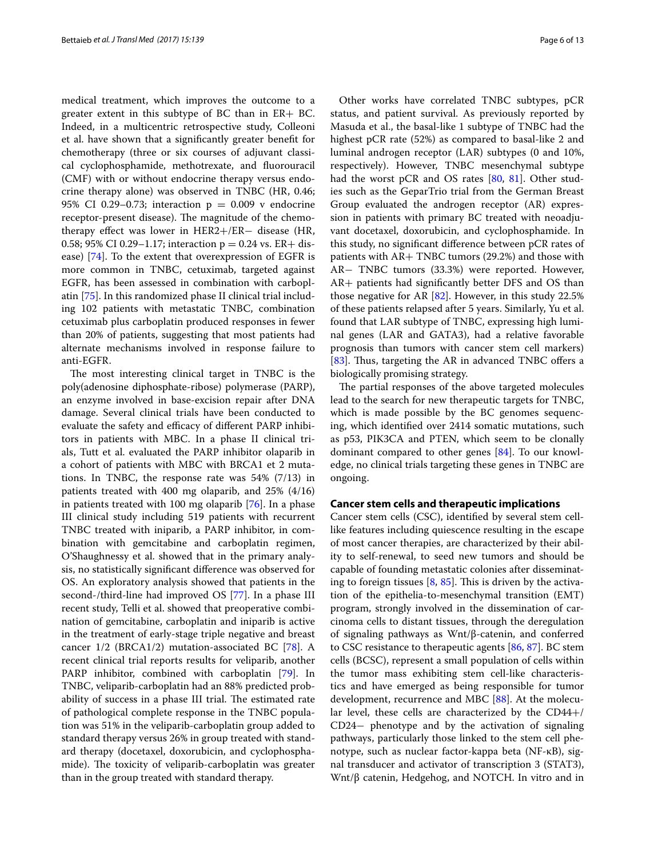medical treatment, which improves the outcome to a greater extent in this subtype of BC than in  $ER + BC$ . Indeed, in a multicentric retrospective study, Colleoni et al. have shown that a signifcantly greater beneft for chemotherapy (three or six courses of adjuvant classical cyclophosphamide, methotrexate, and fuorouracil (CMF) with or without endocrine therapy versus endocrine therapy alone) was observed in TNBC (HR, 0.46; 95% CI 0.29–0.73; interaction  $p = 0.009$  v endocrine receptor-present disease). The magnitude of the chemotherapy efect was lower in HER2+/ER− disease (HR, 0.58; 95% CI 0.29–1.17; interaction  $p = 0.24$  vs. ER+ disease) [[74\]](#page-10-19). To the extent that overexpression of EGFR is more common in TNBC, cetuximab, targeted against EGFR, has been assessed in combination with carboplatin [[75\]](#page-10-20). In this randomized phase II clinical trial including 102 patients with metastatic TNBC, combination cetuximab plus carboplatin produced responses in fewer than 20% of patients, suggesting that most patients had alternate mechanisms involved in response failure to anti-EGFR.

The most interesting clinical target in TNBC is the poly(adenosine diphosphate-ribose) polymerase (PARP), an enzyme involved in base-excision repair after DNA damage. Several clinical trials have been conducted to evaluate the safety and efficacy of different PARP inhibitors in patients with MBC. In a phase II clinical trials, Tutt et al. evaluated the PARP inhibitor olaparib in a cohort of patients with MBC with BRCA1 et 2 mutations. In TNBC, the response rate was 54% (7/13) in patients treated with 400 mg olaparib, and 25% (4/16) in patients treated with 100 mg olaparib [[76](#page-10-21)]. In a phase III clinical study including 519 patients with recurrent TNBC treated with iniparib, a PARP inhibitor, in combination with gemcitabine and carboplatin regimen, O'Shaughnessy et al. showed that in the primary analysis, no statistically signifcant diference was observed for OS. An exploratory analysis showed that patients in the second-/third-line had improved OS [\[77](#page-10-22)]. In a phase III recent study, Telli et al. showed that preoperative combination of gemcitabine, carboplatin and iniparib is active in the treatment of early-stage triple negative and breast cancer 1/2 (BRCA1/2) mutation-associated BC [[78\]](#page-10-23). A recent clinical trial reports results for veliparib, another PARP inhibitor, combined with carboplatin [[79\]](#page-10-24). In TNBC, veliparib-carboplatin had an 88% predicted probability of success in a phase III trial. The estimated rate of pathological complete response in the TNBC population was 51% in the veliparib-carboplatin group added to standard therapy versus 26% in group treated with standard therapy (docetaxel, doxorubicin, and cyclophosphamide). The toxicity of veliparib-carboplatin was greater than in the group treated with standard therapy.

Other works have correlated TNBC subtypes, pCR status, and patient survival. As previously reported by Masuda et al., the basal-like 1 subtype of TNBC had the highest pCR rate (52%) as compared to basal-like 2 and luminal androgen receptor (LAR) subtypes (0 and 10%, respectively). However, TNBC mesenchymal subtype had the worst pCR and OS rates [\[80](#page-10-25), [81](#page-10-26)]. Other studies such as the GeparTrio trial from the German Breast Group evaluated the androgen receptor (AR) expression in patients with primary BC treated with neoadjuvant docetaxel, doxorubicin, and cyclophosphamide. In this study, no signifcant diference between pCR rates of patients with AR+ TNBC tumors (29.2%) and those with AR− TNBC tumors (33.3%) were reported. However, AR+ patients had signifcantly better DFS and OS than those negative for AR [[82\]](#page-11-0). However, in this study 22.5% of these patients relapsed after 5 years. Similarly, Yu et al. found that LAR subtype of TNBC, expressing high luminal genes (LAR and GATA3), had a relative favorable prognosis than tumors with cancer stem cell markers) [[83\]](#page-11-1). Thus, targeting the AR in advanced TNBC offers a biologically promising strategy.

The partial responses of the above targeted molecules lead to the search for new therapeutic targets for TNBC, which is made possible by the BC genomes sequencing, which identifed over 2414 somatic mutations, such as p53, PIK3CA and PTEN, which seem to be clonally dominant compared to other genes [\[84](#page-11-2)]. To our knowledge, no clinical trials targeting these genes in TNBC are ongoing.

## **Cancer stem cells and therapeutic implications**

Cancer stem cells (CSC), identifed by several stem celllike features including quiescence resulting in the escape of most cancer therapies, are characterized by their ability to self-renewal, to seed new tumors and should be capable of founding metastatic colonies after disseminating to foreign tissues  $[8, 85]$  $[8, 85]$  $[8, 85]$  $[8, 85]$ . This is driven by the activation of the epithelia-to-mesenchymal transition (EMT) program, strongly involved in the dissemination of carcinoma cells to distant tissues, through the deregulation of signaling pathways as Wnt/β-catenin, and conferred to CSC resistance to therapeutic agents [\[86](#page-11-4), [87\]](#page-11-5). BC stem cells (BCSC), represent a small population of cells within the tumor mass exhibiting stem cell-like characteristics and have emerged as being responsible for tumor development, recurrence and MBC [\[88](#page-11-6)]. At the molecular level, these cells are characterized by the CD44+/ CD24− phenotype and by the activation of signaling pathways, particularly those linked to the stem cell phenotype, such as nuclear factor-kappa beta (NF-κB), signal transducer and activator of transcription 3 (STAT3), Wnt/β catenin, Hedgehog, and NOTCH. In vitro and in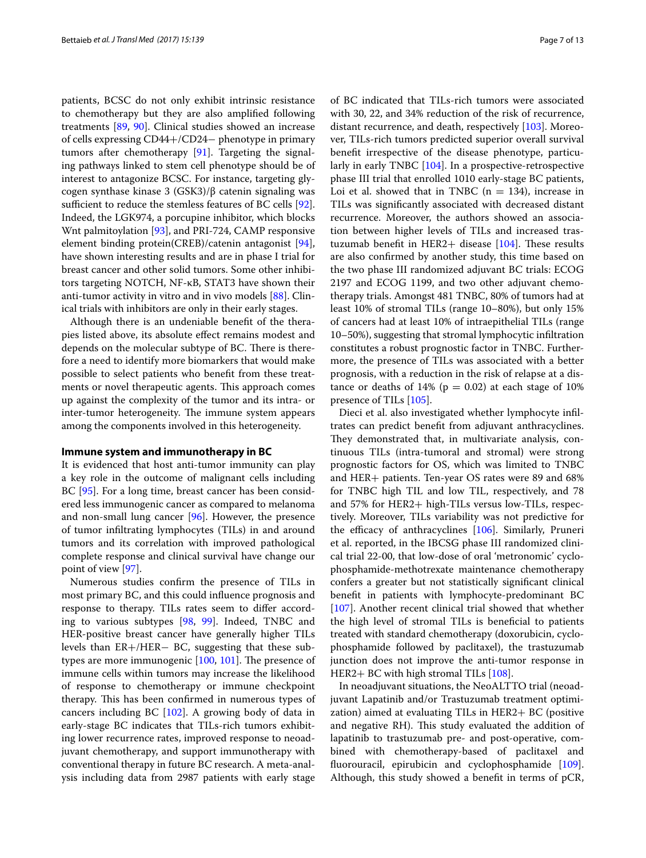patients, BCSC do not only exhibit intrinsic resistance to chemotherapy but they are also amplifed following treatments [[89,](#page-11-7) [90](#page-11-8)]. Clinical studies showed an increase of cells expressing CD44+/CD24− phenotype in primary tumors after chemotherapy [\[91](#page-11-9)]. Targeting the signaling pathways linked to stem cell phenotype should be of interest to antagonize BCSC. For instance, targeting glycogen synthase kinase 3 (GSK3)/β catenin signaling was sufficient to reduce the stemless features of BC cells [\[92](#page-11-10)]. Indeed, the LGK974, a porcupine inhibitor, which blocks Wnt palmitoylation [\[93](#page-11-11)], and PRI-724, CAMP responsive element binding protein(CREB)/catenin antagonist [\[94](#page-11-12)], have shown interesting results and are in phase I trial for breast cancer and other solid tumors. Some other inhibitors targeting NOTCH, NF-κB, STAT3 have shown their anti-tumor activity in vitro and in vivo models [[88\]](#page-11-6). Clinical trials with inhibitors are only in their early stages.

Although there is an undeniable beneft of the therapies listed above, its absolute efect remains modest and depends on the molecular subtype of BC. There is therefore a need to identify more biomarkers that would make possible to select patients who beneft from these treatments or novel therapeutic agents. This approach comes up against the complexity of the tumor and its intra- or inter-tumor heterogeneity. The immune system appears among the components involved in this heterogeneity.

#### **Immune system and immunotherapy in BC**

It is evidenced that host anti-tumor immunity can play a key role in the outcome of malignant cells including BC [[95\]](#page-11-13). For a long time, breast cancer has been considered less immunogenic cancer as compared to melanoma and non-small lung cancer [\[96](#page-11-14)]. However, the presence of tumor infltrating lymphocytes (TILs) in and around tumors and its correlation with improved pathological complete response and clinical survival have change our point of view [[97](#page-11-15)].

Numerous studies confrm the presence of TILs in most primary BC, and this could infuence prognosis and response to therapy. TILs rates seem to difer according to various subtypes [[98](#page-11-16), [99\]](#page-11-17). Indeed, TNBC and HER-positive breast cancer have generally higher TILs levels than ER+/HER− BC, suggesting that these subtypes are more immunogenic  $[100, 101]$  $[100, 101]$  $[100, 101]$  $[100, 101]$ . The presence of immune cells within tumors may increase the likelihood of response to chemotherapy or immune checkpoint therapy. This has been confirmed in numerous types of cancers including BC [\[102](#page-11-20)]. A growing body of data in early-stage BC indicates that TILs-rich tumors exhibiting lower recurrence rates, improved response to neoadjuvant chemotherapy, and support immunotherapy with conventional therapy in future BC research. A meta-analysis including data from 2987 patients with early stage of BC indicated that TILs-rich tumors were associated with 30, 22, and 34% reduction of the risk of recurrence, distant recurrence, and death, respectively [\[103](#page-11-21)]. Moreover, TILs-rich tumors predicted superior overall survival beneft irrespective of the disease phenotype, particularly in early TNBC [\[104\]](#page-11-22). In a prospective-retrospective phase III trial that enrolled 1010 early-stage BC patients, Loi et al. showed that in TNBC ( $n = 134$ ), increase in TILs was signifcantly associated with decreased distant recurrence. Moreover, the authors showed an association between higher levels of TILs and increased trastuzumab benefit in HER2+ disease  $[104]$ . These results are also confrmed by another study, this time based on the two phase III randomized adjuvant BC trials: ECOG 2197 and ECOG 1199, and two other adjuvant chemotherapy trials. Amongst 481 TNBC, 80% of tumors had at least 10% of stromal TILs (range 10–80%), but only 15% of cancers had at least 10% of intraepithelial TILs (range 10–50%), suggesting that stromal lymphocytic infltration constitutes a robust prognostic factor in TNBC. Furthermore, the presence of TILs was associated with a better prognosis, with a reduction in the risk of relapse at a distance or deaths of 14% ( $p = 0.02$ ) at each stage of 10% presence of TILs [\[105](#page-11-23)].

Dieci et al. also investigated whether lymphocyte infltrates can predict beneft from adjuvant anthracyclines. They demonstrated that, in multivariate analysis, continuous TILs (intra-tumoral and stromal) were strong prognostic factors for OS, which was limited to TNBC and HER+ patients. Ten-year OS rates were 89 and 68% for TNBC high TIL and low TIL, respectively, and 78 and 57% for HER2+ high-TILs versus low-TILs, respectively. Moreover, TILs variability was not predictive for the efficacy of anthracyclines  $[106]$ . Similarly, Pruneri et al. reported, in the IBCSG phase III randomized clinical trial 22-00, that low-dose of oral 'metronomic' cyclophosphamide-methotrexate maintenance chemotherapy confers a greater but not statistically signifcant clinical beneft in patients with lymphocyte-predominant BC [[107\]](#page-11-25). Another recent clinical trial showed that whether the high level of stromal TILs is benefcial to patients treated with standard chemotherapy (doxorubicin, cyclophosphamide followed by paclitaxel), the trastuzumab junction does not improve the anti-tumor response in HER2+ BC with high stromal TILs [\[108](#page-11-26)].

In neoadjuvant situations, the NeoALTTO trial (neoadjuvant Lapatinib and/or Trastuzumab treatment optimization) aimed at evaluating TILs in HER2+ BC (positive and negative RH). This study evaluated the addition of lapatinib to trastuzumab pre- and post-operative, combined with chemotherapy-based of paclitaxel and fuorouracil, epirubicin and cyclophosphamide [\[109](#page-11-27)]. Although, this study showed a beneft in terms of pCR,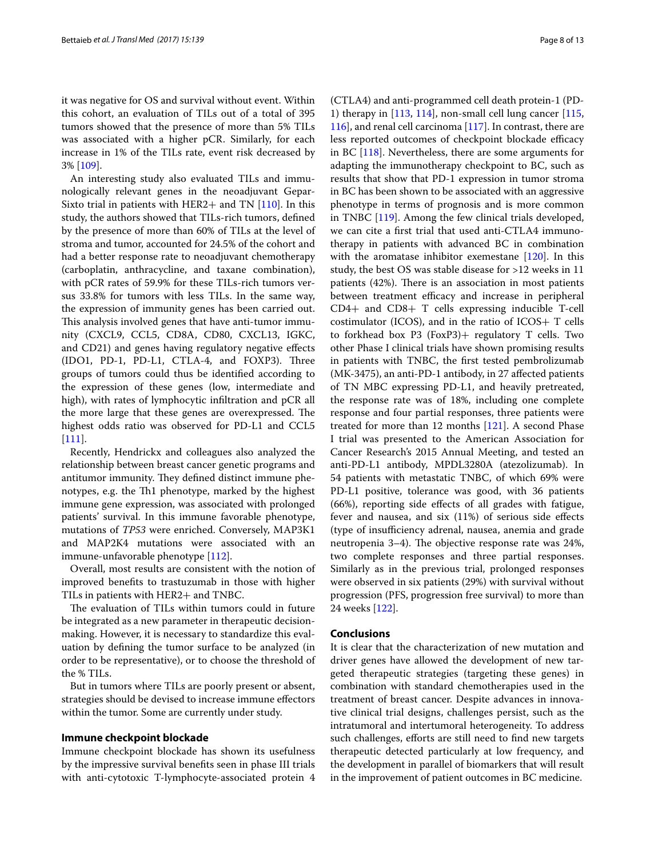it was negative for OS and survival without event. Within this cohort, an evaluation of TILs out of a total of 395 tumors showed that the presence of more than 5% TILs was associated with a higher pCR. Similarly, for each increase in 1% of the TILs rate, event risk decreased by 3% [[109\]](#page-11-27).

An interesting study also evaluated TILs and immunologically relevant genes in the neoadjuvant Gepar-Sixto trial in patients with HER2+ and TN  $[110]$  $[110]$ . In this study, the authors showed that TILs-rich tumors, defned by the presence of more than 60% of TILs at the level of stroma and tumor, accounted for 24.5% of the cohort and had a better response rate to neoadjuvant chemotherapy (carboplatin, anthracycline, and taxane combination), with pCR rates of 59.9% for these TILs-rich tumors versus 33.8% for tumors with less TILs. In the same way, the expression of immunity genes has been carried out. This analysis involved genes that have anti-tumor immunity (CXCL9, CCL5, CD8A, CD80, CXCL13, IGKC, and CD21) and genes having regulatory negative efects (IDO1, PD-1, PD-L1, CTLA-4, and FOXP3). Three groups of tumors could thus be identifed according to the expression of these genes (low, intermediate and high), with rates of lymphocytic infltration and pCR all the more large that these genes are overexpressed. The highest odds ratio was observed for PD-L1 and CCL5 [[111\]](#page-11-29).

Recently, Hendrickx and colleagues also analyzed the relationship between breast cancer genetic programs and antitumor immunity. They defined distinct immune phenotypes, e.g. the Th1 phenotype, marked by the highest immune gene expression, was associated with prolonged patients' survival. In this immune favorable phenotype, mutations of *TP53* were enriched. Conversely, MAP3K1 and MAP2K4 mutations were associated with an immune-unfavorable phenotype [\[112\]](#page-11-30).

Overall, most results are consistent with the notion of improved benefts to trastuzumab in those with higher TILs in patients with HER2+ and TNBC.

The evaluation of TILs within tumors could in future be integrated as a new parameter in therapeutic decisionmaking. However, it is necessary to standardize this evaluation by defning the tumor surface to be analyzed (in order to be representative), or to choose the threshold of the % TILs.

But in tumors where TILs are poorly present or absent, strategies should be devised to increase immune efectors within the tumor. Some are currently under study.

## **Immune checkpoint blockade**

Immune checkpoint blockade has shown its usefulness by the impressive survival benefts seen in phase III trials with anti-cytotoxic T-lymphocyte-associated protein 4

(CTLA4) and anti-programmed cell death protein-1 (PD-1) therapy in [[113](#page-11-31), [114](#page-11-32)], non-small cell lung cancer [[115](#page-11-33), [116](#page-11-34)], and renal cell carcinoma [\[117](#page-12-0)]. In contrast, there are less reported outcomes of checkpoint blockade efficacy in BC [[118\]](#page-12-1). Nevertheless, there are some arguments for adapting the immunotherapy checkpoint to BC, such as results that show that PD-1 expression in tumor stroma in BC has been shown to be associated with an aggressive phenotype in terms of prognosis and is more common in TNBC [[119\]](#page-12-2). Among the few clinical trials developed, we can cite a frst trial that used anti-CTLA4 immunotherapy in patients with advanced BC in combination with the aromatase inhibitor exemestane [\[120\]](#page-12-3). In this study, the best OS was stable disease for >12 weeks in 11 patients  $(42%)$ . There is an association in most patients between treatment efficacy and increase in peripheral CD4+ and CD8+ T cells expressing inducible T-cell costimulator (ICOS), and in the ratio of  $ICOS+T$  cells to forkhead box P3 (FoxP3)+ regulatory T cells. Two other Phase I clinical trials have shown promising results in patients with TNBC, the frst tested pembrolizumab (MK-3475), an anti-PD-1 antibody, in 27 afected patients of TN MBC expressing PD-L1, and heavily pretreated, the response rate was of 18%, including one complete response and four partial responses, three patients were treated for more than 12 months  $[121]$ . A second Phase I trial was presented to the American Association for Cancer Research's 2015 Annual Meeting, and tested an anti-PD-L1 antibody, MPDL3280A (atezolizumab). In 54 patients with metastatic TNBC, of which 69% were PD-L1 positive, tolerance was good, with 36 patients (66%), reporting side efects of all grades with fatigue, fever and nausea, and six (11%) of serious side efects (type of insufficiency adrenal, nausea, anemia and grade neutropenia 3–4). The objective response rate was 24%, two complete responses and three partial responses. Similarly as in the previous trial, prolonged responses were observed in six patients (29%) with survival without progression (PFS, progression free survival) to more than 24 weeks [\[122\]](#page-12-5).

### **Conclusions**

It is clear that the characterization of new mutation and driver genes have allowed the development of new targeted therapeutic strategies (targeting these genes) in combination with standard chemotherapies used in the treatment of breast cancer. Despite advances in innovative clinical trial designs, challenges persist, such as the intratumoral and intertumoral heterogeneity. To address such challenges, efforts are still need to find new targets therapeutic detected particularly at low frequency, and the development in parallel of biomarkers that will result in the improvement of patient outcomes in BC medicine.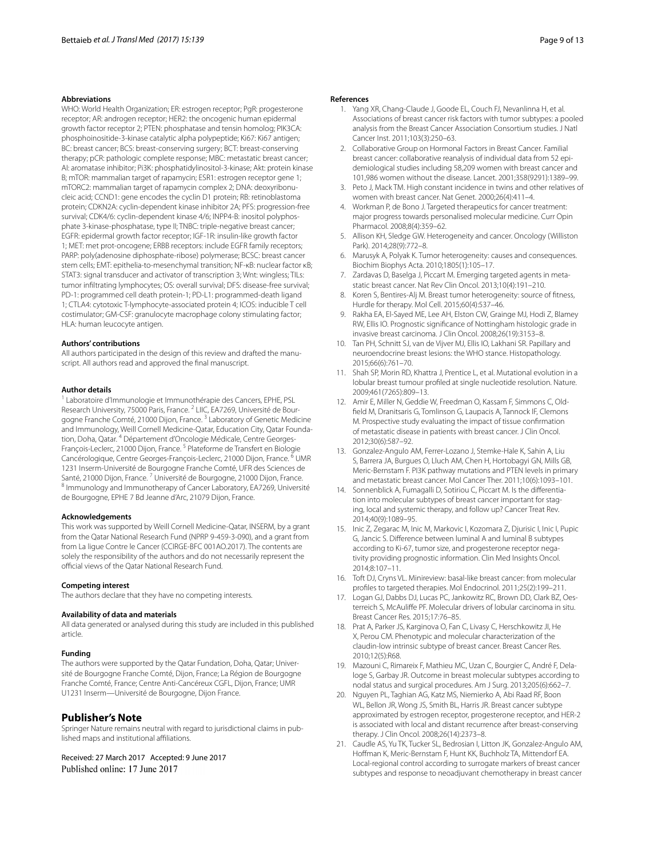#### **Abbreviations**

WHO: World Health Organization; ER: estrogen receptor; PgR: progesterone receptor; AR: androgen receptor; HER2: the oncogenic human epidermal growth factor receptor 2; PTEN: phosphatase and tensin homolog; PIK3CA: phosphoinositide-3-kinase catalytic alpha polypeptide; Ki67: Ki67 antigen; BC: breast cancer; BCS: breast-conserving surgery; BCT: breast-conserving therapy; pCR: pathologic complete response; MBC: metastatic breast cancer; AI: aromatase inhibitor; Pi3K: phosphatidylinositol-3-kinase; Akt: protein kinase B; mTOR: mammalian target of rapamycin; ESR1: estrogen receptor gene 1; mTORC2: mammalian target of rapamycin complex 2; DNA: deoxyribonucleic acid; CCND1: gene encodes the cyclin D1 protein; RB: retinoblastoma protein; CDKN2A: cyclin-dependent kinase inhibitor 2A; PFS: progression-free survival; CDK4/6: cyclin-dependent kinase 4/6; INPP4-B: inositol polyphosphate 3-kinase-phosphatase, type II; TNBC: triple-negative breast cancer; EGFR: epidermal growth factor receptor; IGF-1R: insulin-like growth factor 1; MET: met prot-oncogene; ERBB receptors: include EGFR family receptors; PARP: poly(adenosine diphosphate-ribose) polymerase; BCSC: breast cancer stem cells; EMT: epithelia-to-mesenchymal transition; NF-κB: nuclear factor κB; STAT3: signal transducer and activator of transcription 3; Wnt: wingless; TILs: tumor infltrating lymphocytes; OS: overall survival; DFS: disease-free survival; PD-1: programmed cell death protein-1; PD-L1: programmed-death ligand 1; CTLA4: cytotoxic T-lymphocyte-associated protein 4; ICOS: inducible T cell costimulator; GM-CSF: granulocyte macrophage colony stimulating factor; HLA: human leucocyte antigen.

#### **Authors' contributions**

All authors participated in the design of this review and drafted the manuscript. All authors read and approved the fnal manuscript.

#### **Author details**

Laboratoire d'Immunologie et Immunothérapie des Cancers, EPHE, PSL Research University, 75000 Paris, France. <sup>2</sup> LIIC, EA7269, Université de Bourgogne Franche Comté, 21000 Dijon, France.<sup>3</sup> Laboratory of Genetic Medicine and Immunology, Weill Cornell Medicine-Qatar, Education City, Qatar Foundation, Doha, Qatar. <sup>4</sup> Département d'Oncologie Médicale, Centre Georges-François-Leclerc, 21000 Dijon, France. 5 Plateforme de Transfert en Biologie Cancérologique, Centre Georges-François-Leclerc, 21000 Dijon, France. 6 UMR 1231 Inserm-Université de Bourgogne Franche Comté, UFR des Sciences de Santé, 21000 Dijon, France. <sup>8</sup> Immunology and Immunotherapy of Cancer Laboratory, EA7269, Université de Bourgogne, EPHE 7 Bd Jeanne d'Arc, 21079 Dijon, France.

#### **Acknowledgements**

This work was supported by Weill Cornell Medicine-Qatar, INSERM, by a grant from the Qatar National Research Fund (NPRP 9-459-3-090), and a grant from from La ligue Contre le Cancer (CCIRGE-BFC 001AO.2017). The contents are solely the responsibility of the authors and do not necessarily represent the official views of the Qatar National Research Fund.

#### **Competing interest**

The authors declare that they have no competing interests.

#### **Availability of data and materials**

All data generated or analysed during this study are included in this published article.

#### **Funding**

The authors were supported by the Qatar Fundation, Doha, Qatar; Université de Bourgogne Franche Comté, Dijon, France; La Région de Bourgogne Franche Comté, France; Centre Anti-Cancéreux CGFL, Dijon, France; UMR U1231 Inserm—Université de Bourgogne, Dijon France.

### **Publisher's Note**

Springer Nature remains neutral with regard to jurisdictional claims in published maps and institutional afliations.

Received: 27 March 2017 Accepted: 9 June 2017 Published online: 17 June 2017

#### <span id="page-8-0"></span>**References**

- 1. Yang XR, Chang-Claude J, Goode EL, Couch FJ, Nevanlinna H, et al. Associations of breast cancer risk factors with tumor subtypes: a pooled analysis from the Breast Cancer Association Consortium studies. J Natl Cancer Inst. 2011;103(3):250–63.
- <span id="page-8-1"></span>2. Collaborative Group on Hormonal Factors in Breast Cancer. Familial breast cancer: collaborative reanalysis of individual data from 52 epidemiological studies including 58,209 women with breast cancer and 101,986 women without the disease. Lancet. 2001;358(9291):1389–99.
- <span id="page-8-2"></span>3. Peto J, Mack TM. High constant incidence in twins and other relatives of women with breast cancer. Nat Genet. 2000;26(4):411–4.
- <span id="page-8-3"></span>4. Workman P, de Bono J. Targeted therapeutics for cancer treatment: major progress towards personalised molecular medicine. Curr Opin Pharmacol. 2008;8(4):359–62.
- <span id="page-8-4"></span>5. Allison KH, Sledge GW. Heterogeneity and cancer. Oncology (Williston Park). 2014;28(9):772–8.
- <span id="page-8-5"></span>6. Marusyk A, Polyak K. Tumor heterogeneity: causes and consequences. Biochim Biophys Acta. 2010;1805(1):105–17.
- <span id="page-8-6"></span>7. Zardavas D, Baselga J, Piccart M. Emerging targeted agents in metastatic breast cancer. Nat Rev Clin Oncol. 2013;10(4):191–210.
- <span id="page-8-7"></span>Koren S, Bentires-Alj M. Breast tumor heterogeneity: source of fitness, Hurdle for therapy. Mol Cell. 2015;60(4):537–46.
- <span id="page-8-8"></span>9. Rakha EA, El-Sayed ME, Lee AH, Elston CW, Grainge MJ, Hodi Z, Blamey RW, Ellis IO. Prognostic signifcance of Nottingham histologic grade in invasive breast carcinoma. J Clin Oncol. 2008;26(19):3153–8.
- <span id="page-8-9"></span>10. Tan PH, Schnitt SJ, van de Vijver MJ, Ellis IO, Lakhani SR. Papillary and neuroendocrine breast lesions: the WHO stance. Histopathology. 2015;66(6):761–70.
- <span id="page-8-10"></span>11. Shah SP, Morin RD, Khattra J, Prentice L, et al. Mutational evolution in a lobular breast tumour profled at single nucleotide resolution. Nature. 2009;461(7265):809–13.
- <span id="page-8-11"></span>12. Amir E, Miller N, Geddie W, Freedman O, Kassam F, Simmons C, Oldfeld M, Dranitsaris G, Tomlinson G, Laupacis A, Tannock IF, Clemons M. Prospective study evaluating the impact of tissue confrmation of metastatic disease in patients with breast cancer. J Clin Oncol. 2012;30(6):587–92.
- <span id="page-8-12"></span>13. Gonzalez-Angulo AM, Ferrer-Lozano J, Stemke-Hale K, Sahin A, Liu S, Barrera JA, Burgues O, Lluch AM, Chen H, Hortobagyi GN, Mills GB, Meric-Bernstam F. PI3K pathway mutations and PTEN levels in primary and metastatic breast cancer. Mol Cancer Ther. 2011;10(6):1093–101.
- <span id="page-8-13"></span>14. Sonnenblick A, Fumagalli D, Sotiriou C, Piccart M. Is the diferentiation into molecular subtypes of breast cancer important for staging, local and systemic therapy, and follow up? Cancer Treat Rev. 2014;40(9):1089–95.
- <span id="page-8-14"></span>15. Inic Z, Zegarac M, Inic M, Markovic I, Kozomara Z, Djurisic I, Inic I, Pupic G, Jancic S. Diference between luminal A and luminal B subtypes according to Ki-67, tumor size, and progesterone receptor negativity providing prognostic information. Clin Med Insights Oncol. 2014;8:107–11.
- <span id="page-8-15"></span>16. Toft DJ, Cryns VL. Minireview: basal-like breast cancer: from molecular profles to targeted therapies. Mol Endocrinol. 2011;25(2):199–211.
- <span id="page-8-16"></span>17. Logan GJ, Dabbs DJ, Lucas PC, Jankowitz RC, Brown DD, Clark BZ, Oesterreich S, McAulife PF. Molecular drivers of lobular carcinoma in situ. Breast Cancer Res. 2015;17:76–85.
- <span id="page-8-17"></span>18. Prat A, Parker JS, Karginova O, Fan C, Livasy C, Herschkowitz JI, He X, Perou CM. Phenotypic and molecular characterization of the claudin-low intrinsic subtype of breast cancer. Breast Cancer Res. 2010;12(5):R68.
- <span id="page-8-18"></span>19. Mazouni C, Rimareix F, Mathieu MC, Uzan C, Bourgier C, André F, Delaloge S, Garbay JR. Outcome in breast molecular subtypes according to nodal status and surgical procedures. Am J Surg. 2013;205(6):662–7.
- <span id="page-8-19"></span>20. Nguyen PL, Taghian AG, Katz MS, Niemierko A, Abi Raad RF, Boon WL, Bellon JR, Wong JS, Smith BL, Harris JR. Breast cancer subtype approximated by estrogen receptor, progesterone receptor, and HER-2 is associated with local and distant recurrence after breast-conserving therapy. J Clin Oncol. 2008;26(14):2373–8.
- <span id="page-8-20"></span>21. Caudle AS, Yu TK, Tucker SL, Bedrosian I, Litton JK, Gonzalez-Angulo AM, Hofman K, Meric-Bernstam F, Hunt KK, Buchholz TA, Mittendorf EA. Local-regional control according to surrogate markers of breast cancer subtypes and response to neoadjuvant chemotherapy in breast cancer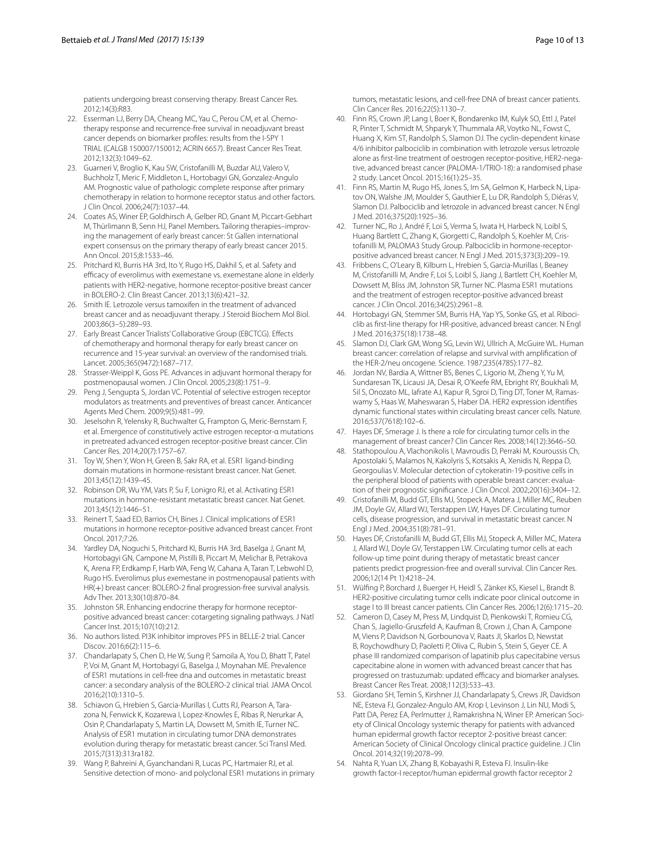patients undergoing breast conserving therapy. Breast Cancer Res. 2012;14(3):R83.

- <span id="page-9-0"></span>22. Esserman LJ, Berry DA, Cheang MC, Yau C, Perou CM, et al. Chemotherapy response and recurrence-free survival in neoadjuvant breast cancer depends on biomarker profles: results from the I-SPY 1 TRIAL (CALGB 150007/150012; ACRIN 6657). Breast Cancer Res Treat. 2012;132(3):1049–62.
- <span id="page-9-1"></span>23. Guarneri V, Broglio K, Kau SW, Cristofanilli M, Buzdar AU, Valero V, Buchholz T, Meric F, Middleton L, Hortobagyi GN, Gonzalez-Angulo AM. Prognostic value of pathologic complete response after primary chemotherapy in relation to hormone receptor status and other factors. J Clin Oncol. 2006;24(7):1037–44.
- <span id="page-9-2"></span>24. Coates AS, Winer EP, Goldhirsch A, Gelber RD, Gnant M, Piccart-Gebhart M, Thürlimann B, Senn HJ, Panel Members. Tailoring therapies–improving the management of early breast cancer: St Gallen international expert consensus on the primary therapy of early breast cancer 2015. Ann Oncol. 2015;8:1533–46.
- <span id="page-9-3"></span>25. Pritchard KI, Burris HA 3rd, Ito Y, Rugo HS, Dakhil S, et al. Safety and efficacy of everolimus with exemestane vs. exemestane alone in elderly patients with HER2-negative, hormone receptor-positive breast cancer in BOLERO-2. Clin Breast Cancer. 2013;13(6):421–32.
- <span id="page-9-4"></span>26. Smith IE. Letrozole versus tamoxifen in the treatment of advanced breast cancer and as neoadjuvant therapy. J Steroid Biochem Mol Biol. 2003;86(3–5):289–93.
- <span id="page-9-5"></span>27. Early Breast Cancer Trialists' Collaborative Group (EBCTCG). Effects of chemotherapy and hormonal therapy for early breast cancer on recurrence and 15-year survival: an overview of the randomised trials. Lancet. 2005;365(9472):1687–717.
- 28. Strasser-Weippl K, Goss PE. Advances in adjuvant hormonal therapy for postmenopausal women. J Clin Oncol. 2005;23(8):1751–9.
- <span id="page-9-6"></span>29. Peng J, Sengupta S, Jordan VC. Potential of selective estrogen receptor modulators as treatments and preventives of breast cancer. Anticancer Agents Med Chem. 2009;9(5):481–99.
- <span id="page-9-7"></span>30. Jeselsohn R, Yelensky R, Buchwalter G, Frampton G, Meric-Bernstam F, et al. Emergence of constitutively active estrogen receptor-α mutations in pretreated advanced estrogen receptor-positive breast cancer. Clin Cancer Res. 2014;20(7):1757–67.
- 31. Toy W, Shen Y, Won H, Green B, Sakr RA, et al. ESR1 ligand-binding domain mutations in hormone-resistant breast cancer. Nat Genet. 2013;45(12):1439–45.
- 32. Robinson DR, Wu YM, Vats P, Su F, Lonigro RJ, et al. Activating ESR1 mutations in hormone-resistant metastatic breast cancer. Nat Genet. 2013;45(12):1446–51.
- <span id="page-9-8"></span>33. Reinert T, Saad ED, Barrios CH, Bines J. Clinical implications of ESR1 mutations in hormone receptor-positive advanced breast cancer. Front Oncol. 2017;7:26.
- <span id="page-9-9"></span>Yardley DA, Noguchi S, Pritchard KI, Burris HA 3rd, Baselga J, Gnant M, Hortobagyi GN, Campone M, Pistilli B, Piccart M, Melichar B, Petrakova K, Arena FP, Erdkamp F, Harb WA, Feng W, Cahana A, Taran T, Lebwohl D, Rugo HS. Everolimus plus exemestane in postmenopausal patients with HR(+) breast cancer: BOLERO-2 fnal progression-free survival analysis. Adv Ther. 2013;30(10):870–84.
- <span id="page-9-10"></span>35. Johnston SR. Enhancing endocrine therapy for hormone receptorpositive advanced breast cancer: cotargeting signaling pathways. J Natl Cancer Inst. 2015;107(10):212.
- <span id="page-9-11"></span>36. No authors listed. PI3K inhibitor improves PFS in BELLE-2 trial. Cancer Discov. 2016;6(2):115–6.
- <span id="page-9-12"></span>37. Chandarlapaty S, Chen D, He W, Sung P, Samoila A, You D, Bhatt T, Patel P, Voi M, Gnant M, Hortobagyi G, Baselga J, Moynahan ME. Prevalence of ESR1 mutations in cell-free dna and outcomes in metastatic breast cancer: a secondary analysis of the BOLERO-2 clinical trial. JAMA Oncol. 2016;2(10):1310–5.
- <span id="page-9-13"></span>38. Schiavon G, Hrebien S, Garcia-Murillas I, Cutts RJ, Pearson A, Tarazona N, Fenwick K, Kozarewa I, Lopez-Knowles E, Ribas R, Nerurkar A, Osin P, Chandarlapaty S, Martin LA, Dowsett M, Smith IE, Turner NC. Analysis of ESR1 mutation in circulating tumor DNA demonstrates evolution during therapy for metastatic breast cancer. Sci Transl Med. 2015;7(313):313ra182.
- <span id="page-9-14"></span>39. Wang P, Bahreini A, Gyanchandani R, Lucas PC, Hartmaier RJ, et al. Sensitive detection of mono- and polyclonal ESR1 mutations in primary

tumors, metastatic lesions, and cell-free DNA of breast cancer patients. Clin Cancer Res. 2016;22(5):1130–7.

- <span id="page-9-15"></span>40. Finn RS, Crown JP, Lang I, Boer K, Bondarenko IM, Kulyk SO, Ettl J, Patel R, Pinter T, Schmidt M, Shparyk Y, Thummala AR, Voytko NL, Fowst C, Huang X, Kim ST, Randolph S, Slamon DJ. The cyclin-dependent kinase 4/6 inhibitor palbociclib in combination with letrozole versus letrozole alone as frst-line treatment of oestrogen receptor-positive, HER2-negative, advanced breast cancer (PALOMA-1/TRIO-18): a randomised phase 2 study. Lancet Oncol. 2015;16(1):25–35.
- <span id="page-9-16"></span>41. Finn RS, Martin M, Rugo HS, Jones S, Im SA, Gelmon K, Harbeck N, Lipatov ON, Walshe JM, Moulder S, Gauthier E, Lu DR, Randolph S, Diéras V, Slamon DJ. Palbociclib and letrozole in advanced breast cancer. N Engl J Med. 2016;375(20):1925–36.
- <span id="page-9-17"></span>42. Turner NC, Ro J, André F, Loi S, Verma S, Iwata H, Harbeck N, Loibl S, Huang Bartlett C, Zhang K, Giorgetti C, Randolph S, Koehler M, Cristofanilli M, PALOMA3 Study Group. Palbociclib in hormone-receptorpositive advanced breast cancer. N Engl J Med. 2015;373(3):209–19.
- <span id="page-9-18"></span>43. Fribbens C, O'Leary B, Kilburn L, Hrebien S, Garcia-Murillas I, Beaney M, Cristofanilli M, Andre F, Loi S, Loibl S, Jiang J, Bartlett CH, Koehler M, Dowsett M, Bliss JM, Johnston SR, Turner NC. Plasma ESR1 mutations and the treatment of estrogen receptor-positive advanced breast cancer. J Clin Oncol. 2016;34(25):2961–8.
- <span id="page-9-19"></span>44. Hortobagyi GN, Stemmer SM, Burris HA, Yap YS, Sonke GS, et al. Ribociclib as frst-line therapy for HR-positive, advanced breast cancer. N Engl J Med. 2016;375(18):1738–48.
- <span id="page-9-20"></span>45. Slamon DJ, Clark GM, Wong SG, Levin WJ, Ullrich A, McGuire WL. Human breast cancer: correlation of relapse and survival with amplifcation of the HER-2/neu oncogene. Science. 1987;235(4785):177–82.
- <span id="page-9-21"></span>46. Jordan NV, Bardia A, Wittner BS, Benes C, Ligorio M, Zheng Y, Yu M, Sundaresan TK, Licausi JA, Desai R, O'Keefe RM, Ebright RY, Boukhali M, Sil S, Onozato ML, Iafrate AJ, Kapur R, Sgroi D, Ting DT, Toner M, Ramaswamy S, Haas W, Maheswaran S, Haber DA. HER2 expression identifes dynamic functional states within circulating breast cancer cells. Nature. 2016;537(7618):102–6.
- <span id="page-9-22"></span>47. Hayes DF, Smerage J. Is there a role for circulating tumor cells in the management of breast cancer? Clin Cancer Res. 2008;14(12):3646–50.
- <span id="page-9-23"></span>48. Stathopoulou A, Vlachonikolis I, Mavroudis D, Perraki M, Kouroussis Ch, Apostolaki S, Malamos N, Kakolyris S, Kotsakis A, Xenidis N, Reppa D, Georgoulias V. Molecular detection of cytokeratin-19-positive cells in the peripheral blood of patients with operable breast cancer: evaluation of their prognostic signifcance. J Clin Oncol. 2002;20(16):3404–12.
- <span id="page-9-24"></span>49. Cristofanilli M, Budd GT, Ellis MJ, Stopeck A, Matera J, Miller MC, Reuben JM, Doyle GV, Allard WJ, Terstappen LW, Hayes DF. Circulating tumor cells, disease progression, and survival in metastatic breast cancer. N Engl J Med. 2004;351(8):781–91.
- <span id="page-9-25"></span>50. Hayes DF, Cristofanilli M, Budd GT, Ellis MJ, Stopeck A, Miller MC, Matera J, Allard WJ, Doyle GV, Terstappen LW. Circulating tumor cells at each follow-up time point during therapy of metastatic breast cancer patients predict progression-free and overall survival. Clin Cancer Res. 2006;12(14 Pt 1):4218–24.
- <span id="page-9-26"></span>51. Wülfng P, Borchard J, Buerger H, Heidl S, Zänker KS, Kiesel L, Brandt B. HER2-positive circulating tumor cells indicate poor clinical outcome in stage I to III breast cancer patients. Clin Cancer Res. 2006;12(6):1715–20.
- <span id="page-9-27"></span>52. Cameron D, Casey M, Press M, Lindquist D, Pienkowski T, Romieu CG, Chan S, Jagiello-Gruszfeld A, Kaufman B, Crown J, Chan A, Campone M, Viens P, Davidson N, Gorbounova V, Raats JI, Skarlos D, Newstat B, Roychowdhury D, Paoletti P, Oliva C, Rubin S, Stein S, Geyer CE. A phase III randomized comparison of lapatinib plus capecitabine versus capecitabine alone in women with advanced breast cancer that has progressed on trastuzumab: updated efficacy and biomarker analyses. Breast Cancer Res Treat. 2008;112(3):533–43.
- <span id="page-9-28"></span>53. Giordano SH, Temin S, Kirshner JJ, Chandarlapaty S, Crews JR, Davidson NE, Esteva FJ, Gonzalez-Angulo AM, Krop I, Levinson J, Lin NU, Modi S, Patt DA, Perez EA, Perlmutter J, Ramakrishna N, Winer EP. American Society of Clinical Oncology systemic therapy for patients with advanced human epidermal growth factor receptor 2-positive breast cancer: American Society of Clinical Oncology clinical practice guideline. J Clin Oncol. 2014;32(19):2078–99.
- <span id="page-9-29"></span>54. Nahta R, Yuan LX, Zhang B, Kobayashi R, Esteva FJ. Insulin-like growth factor-I receptor/human epidermal growth factor receptor 2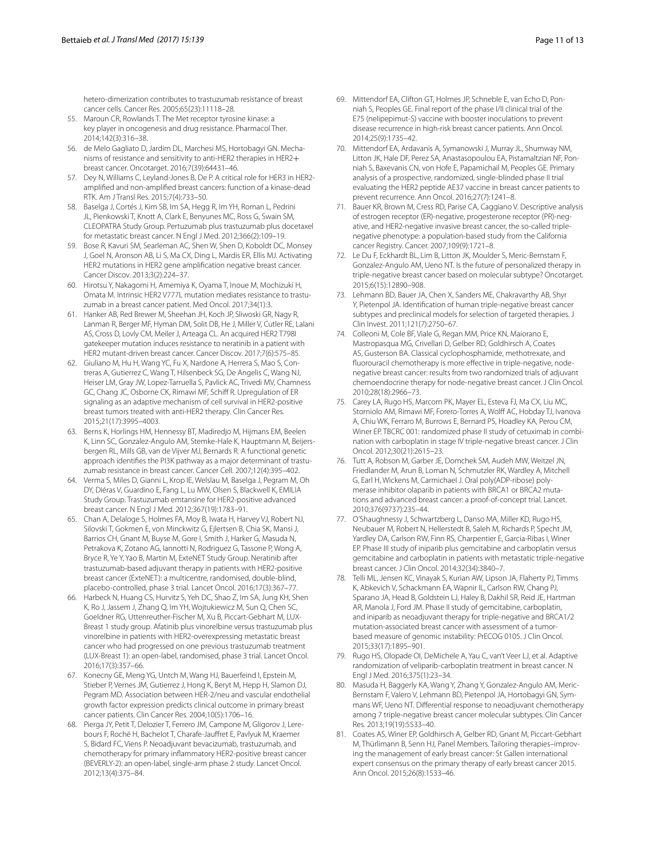hetero-dimerization contributes to trastuzumab resistance of breast cancer cells. Cancer Res. 2005;65(23):11118–28.

- <span id="page-10-0"></span>55. Maroun CR, Rowlands T. The Met receptor tyrosine kinase: a key player in oncogenesis and drug resistance. Pharmacol Ther. 2014;142(3):316–38.
- <span id="page-10-1"></span>56. de Melo Gagliato D, Jardim DL, Marchesi MS, Hortobagyi GN. Mechanisms of resistance and sensitivity to anti-HER2 therapies in HER2+ breast cancer. Oncotarget. 2016;7(39):64431–46.
- <span id="page-10-2"></span>57. Dey N, Williams C, Leyland-Jones B, De P. A critical role for HER3 in HER2 amplifed and non-amplifed breast cancers: function of a kinase-dead RTK. Am J Transl Res. 2015;7(4):733–50.
- <span id="page-10-3"></span>58. Baselga J, Cortés J, Kim SB, Im SA, Hegg R, Im YH, Roman L, Pedrini JL, Pienkowski T, Knott A, Clark E, Benyunes MC, Ross G, Swain SM, CLEOPATRA Study Group. Pertuzumab plus trastuzumab plus docetaxel for metastatic breast cancer. N Engl J Med. 2012;366(2):109–19.
- <span id="page-10-4"></span>59. Bose R, Kavuri SM, Searleman AC, Shen W, Shen D, Koboldt DC, Monsey J, Goel N, Aronson AB, Li S, Ma CX, Ding L, Mardis ER, Ellis MJ. Activating HER2 mutations in HER2 gene amplifcation negative breast cancer. Cancer Discov. 2013;3(2):224–37.
- <span id="page-10-5"></span>60. Hirotsu Y, Nakagomi H, Amemiya K, Oyama T, Inoue M, Mochizuki H, Omata M. Intrinsic HER2 V777L mutation mediates resistance to trastuzumab in a breast cancer patient. Med Oncol. 2017;34(1):3.
- <span id="page-10-6"></span>61. Hanker AB, Red Brewer M, Sheehan JH, Koch JP, Sliwoski GR, Nagy R, Lanman R, Berger MF, Hyman DM, Solit DB, He J, Miller V, Cutler RE, Lalani AS, Cross D, Lovly CM, Meiler J, Arteaga CL. An acquired HER2 T798I gatekeeper mutation induces resistance to neratinib in a patient with HER2 mutant-driven breast cancer. Cancer Discov. 2017;7(6):575–85.
- <span id="page-10-7"></span>62. Giuliano M, Hu H, Wang YC, Fu X, Nardone A, Herrera S, Mao S, Contreras A, Gutierrez C, Wang T, Hilsenbeck SG, De Angelis C, Wang NJ, Heiser LM, Gray JW, Lopez-Tarruella S, Pavlick AC, Trivedi MV, Chamness GC, Chang JC, Osborne CK, Rimawi MF, Schiff R. Upregulation of ER signaling as an adaptive mechanism of cell survival in HER2-positive breast tumors treated with anti-HER2 therapy. Clin Cancer Res. 2015;21(17):3995–4003.
- <span id="page-10-8"></span>63. Berns K, Horlings HM, Hennessy BT, Madiredjo M, Hijmans EM, Beelen K, Linn SC, Gonzalez-Angulo AM, Stemke-Hale K, Hauptmann M, Beijersbergen RL, Mills GB, van de Vijver MJ, Bernards R. A functional genetic approach identifes the PI3K pathway as a major determinant of trastuzumab resistance in breast cancer. Cancer Cell. 2007;12(4):395–402.
- <span id="page-10-9"></span>Verma S, Miles D, Gianni L, Krop IE, Welslau M, Baselga J, Pegram M, Oh DY, Diéras V, Guardino E, Fang L, Lu MW, Olsen S, Blackwell K, EMILIA Study Group. Trastuzumab emtansine for HER2-positive advanced breast cancer. N Engl J Med. 2012;367(19):1783–91.
- <span id="page-10-10"></span>65. Chan A, Delaloge S, Holmes FA, Moy B, Iwata H, Harvey VJ, Robert NJ, Silovski T, Gokmen E, von Minckwitz G, Ejlertsen B, Chia SK, Mansi J, Barrios CH, Gnant M, Buyse M, Gore I, Smith J, Harker G, Masuda N, Petrakova K, Zotano AG, Iannotti N, Rodriguez G, Tassone P, Wong A, Bryce R, Ye Y, Yao B, Martin M, ExteNET Study Group. Neratinib after trastuzumab-based adjuvant therapy in patients with HER2-positive breast cancer (ExteNET): a multicentre, randomised, double-blind, placebo-controlled, phase 3 trial. Lancet Oncol. 2016;17(3):367–77.
- <span id="page-10-11"></span>66. Harbeck N, Huang CS, Hurvitz S, Yeh DC, Shao Z, Im SA, Jung KH, Shen K, Ro J, Jassem J, Zhang Q, Im YH, Wojtukiewicz M, Sun Q, Chen SC, Goeldner RG, Uttenreuther-Fischer M, Xu B, Piccart-Gebhart M, LUX-Breast 1 study group. Afatinib plus vinorelbine versus trastuzumab plus vinorelbine in patients with HER2-overexpressing metastatic breast cancer who had progressed on one previous trastuzumab treatment (LUX-Breast 1): an open-label, randomised, phase 3 trial. Lancet Oncol. 2016;17(3):357–66.
- <span id="page-10-12"></span>67. Konecny GE, Meng YG, Untch M, Wang HJ, Bauerfeind I, Epstein M, Stieber P, Vernes JM, Gutierrez J, Hong K, Beryt M, Hepp H, Slamon DJ, Pegram MD. Association between HER-2/neu and vascular endothelial growth factor expression predicts clinical outcome in primary breast cancer patients. Clin Cancer Res. 2004;10(5):1706–16.
- <span id="page-10-13"></span>68. Pierga JY, Petit T, Delozier T, Ferrero JM, Campone M, Gligorov J, Lerebours F, Roché H, Bachelot T, Charafe-Jaufret E, Pavlyuk M, Kraemer S, Bidard FC, Viens P. Neoadjuvant bevacizumab, trastuzumab, and chemotherapy for primary infammatory HER2-positive breast cancer (BEVERLY-2): an open-label, single-arm phase 2 study. Lancet Oncol. 2012;13(4):375–84.
- <span id="page-10-14"></span>69. Mittendorf EA, Clifton GT, Holmes JP, Schneble E, van Echo D, Ponniah S, Peoples GE. Final report of the phase I/II clinical trial of the E75 (nelipepimut-S) vaccine with booster inoculations to prevent disease recurrence in high-risk breast cancer patients. Ann Oncol. 2014;25(9):1735–42.
- <span id="page-10-15"></span>70. Mittendorf EA, Ardavanis A, Symanowski J, Murray JL, Shumway NM, Litton JK, Hale DF, Perez SA, Anastasopoulou EA, Pistamaltzian NF, Ponniah S, Baxevanis CN, von Hofe E, Papamichail M, Peoples GE. Primary analysis of a prospective, randomized, single-blinded phase II trial evaluating the HER2 peptide AE37 vaccine in breast cancer patients to prevent recurrence. Ann Oncol. 2016;27(7):1241–8.
- <span id="page-10-16"></span>71. Bauer KR, Brown M, Cress RD, Parise CA, Caggiano V. Descriptive analysis of estrogen receptor (ER)-negative, progesterone receptor (PR)-negative, and HER2-negative invasive breast cancer, the so-called triplenegative phenotype: a population-based study from the California cancer Registry. Cancer. 2007;109(9):1721–8.
- <span id="page-10-17"></span>72. Le Du F, Eckhardt BL, Lim B, Litton JK, Moulder S, Meric-Bernstam F, Gonzalez-Angulo AM, Ueno NT. Is the future of personalized therapy in triple-negative breast cancer based on molecular subtype? Oncotarget. 2015;6(15):12890–908.
- <span id="page-10-18"></span>73. Lehmann BD, Bauer JA, Chen X, Sanders ME, Chakravarthy AB, Shyr Y, Pietenpol JA. Identifcation of human triple-negative breast cancer subtypes and preclinical models for selection of targeted therapies. J Clin Invest. 2011;121(7):2750–67.
- <span id="page-10-19"></span>74. Colleoni M, Cole BF, Viale G, Regan MM, Price KN, Maiorano E, Mastropasqua MG, Crivellari D, Gelber RD, Goldhirsch A, Coates AS, Gusterson BA. Classical cyclophosphamide, methotrexate, and fluorouracil chemotherapy is more effective in triple-negative, nodenegative breast cancer: results from two randomized trials of adjuvant chemoendocrine therapy for node-negative breast cancer. J Clin Oncol. 2010;28(18):2966–73.
- <span id="page-10-20"></span>75. Carey LA, Rugo HS, Marcom PK, Mayer EL, Esteva FJ, Ma CX, Liu MC, Storniolo AM, Rimawi MF, Forero-Torres A, Wolff AC, Hobday TJ, Ivanova A, Chiu WK, Ferraro M, Burrows E, Bernard PS, Hoadley KA, Perou CM, Winer EP. TBCRC 001: randomized phase II study of cetuximab in combination with carboplatin in stage IV triple-negative breast cancer. J Clin Oncol. 2012;30(21):2615–23.
- <span id="page-10-21"></span>76. Tutt A, Robson M, Garber JE, Domchek SM, Audeh MW, Weitzel JN, Friedlander M, Arun B, Loman N, Schmutzler RK, Wardley A, Mitchell G, Earl H, Wickens M, Carmichael J. Oral poly(ADP-ribose) polymerase inhibitor olaparib in patients with BRCA1 or BRCA2 mutations and advanced breast cancer: a proof-of-concept trial. Lancet. 2010;376(9737):235–44.
- <span id="page-10-22"></span>77. O'Shaughnessy J, Schwartzberg L, Danso MA, Miller KD, Rugo HS, Neubauer M, Robert N, Hellerstedt B, Saleh M, Richards P, Specht JM, Yardley DA, Carlson RW, Finn RS, Charpentier E, Garcia-Ribas I, Winer EP. Phase III study of iniparib plus gemcitabine and carboplatin versus gemcitabine and carboplatin in patients with metastatic triple-negative breast cancer. J Clin Oncol. 2014;32(34):3840–7.
- <span id="page-10-23"></span>78. Telli ML, Jensen KC, Vinayak S, Kurian AW, Lipson JA, Flaherty PJ, Timms K, Abkevich V, Schackmann EA, Wapnir IL, Carlson RW, Chang PJ, Sparano JA, Head B, Goldstein LJ, Haley B, Dakhil SR, Reid JE, Hartman AR, Manola J, Ford JM. Phase II study of gemcitabine, carboplatin, and iniparib as neoadjuvant therapy for triple-negative and BRCA1/2 mutation-associated breast cancer with assessment of a tumorbased measure of genomic instability: PrECOG 0105. J Clin Oncol. 2015;33(17):1895–901.
- <span id="page-10-24"></span>79. Rugo HS, Olopade OI, DeMichele A, Yau C, van't Veer LJ, et al. Adaptive randomization of veliparib-carboplatin treatment in breast cancer. N Engl J Med. 2016;375(1):23–34.
- <span id="page-10-25"></span>80. Masuda H, Baggerly KA, Wang Y, Zhang Y, Gonzalez-Angulo AM, Meric-Bernstam F, Valero V, Lehmann BD, Pietenpol JA, Hortobagyi GN, Symmans WF, Ueno NT. Diferential response to neoadjuvant chemotherapy among 7 triple-negative breast cancer molecular subtypes. Clin Cancer Res. 2013;19(19):5533–40.
- <span id="page-10-26"></span>81. Coates AS, Winer EP, Goldhirsch A, Gelber RD, Gnant M, Piccart-Gebhart M, Thürlimann B, Senn HJ, Panel Members. Tailoring therapies–improving the management of early breast cancer: St Gallen international expert consensus on the primary therapy of early breast cancer 2015. Ann Oncol. 2015;26(8):1533–46.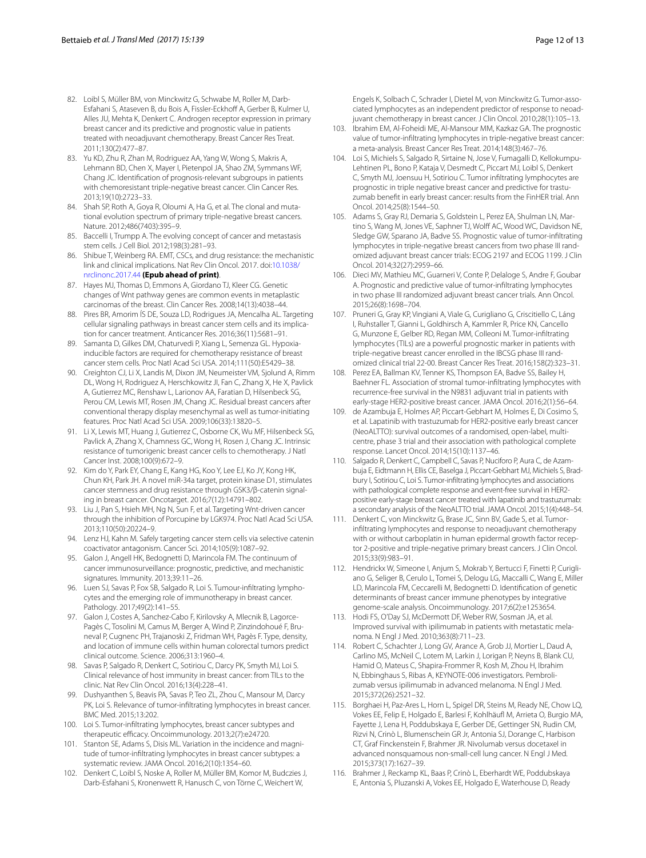- <span id="page-11-0"></span>82. Loibl S, Müller BM, von Minckwitz G, Schwabe M, Roller M, Darb-Esfahani S, Ataseven B, du Bois A, Fissler-Eckhoff A, Gerber B, Kulmer U, Alles JU, Mehta K, Denkert C. Androgen receptor expression in primary breast cancer and its predictive and prognostic value in patients treated with neoadjuvant chemotherapy. Breast Cancer Res Treat. 2011;130(2):477–87.
- <span id="page-11-1"></span>83. Yu KD, Zhu R, Zhan M, Rodriguez AA, Yang W, Wong S, Makris A, Lehmann BD, Chen X, Mayer I, Pietenpol JA, Shao ZM, Symmans WF, Chang JC. Identifcation of prognosis-relevant subgroups in patients with chemoresistant triple-negative breast cancer. Clin Cancer Res. 2013;19(10):2723–33.
- <span id="page-11-2"></span>84. Shah SP, Roth A, Goya R, Oloumi A, Ha G, et al. The clonal and mutational evolution spectrum of primary triple-negative breast cancers. Nature. 2012;486(7403):395–9.
- <span id="page-11-3"></span>85. Baccelli I, Trumpp A. The evolving concept of cancer and metastasis stem cells. J Cell Biol. 2012;198(3):281–93.
- <span id="page-11-4"></span>86. Shibue T, Weinberg RA. EMT, CSCs, and drug resistance: the mechanistic link and clinical implications. Nat Rev Clin Oncol. 2017. doi:[10.1038/](http://dx.doi.org/10.1038/nrclinonc.2017.44) [nrclinonc.2017.44](http://dx.doi.org/10.1038/nrclinonc.2017.44) **(Epub ahead of print)**.
- <span id="page-11-5"></span>87. Hayes MJ, Thomas D, Emmons A, Giordano TJ, Kleer CG. Genetic changes of Wnt pathway genes are common events in metaplastic carcinomas of the breast. Clin Cancer Res. 2008;14(13):4038–44.
- <span id="page-11-6"></span>88. Pires BR, Amorim ÍS DE, Souza LD, Rodrigues JA, Mencalha AL. Targeting cellular signaling pathways in breast cancer stem cells and its implication for cancer treatment. Anticancer Res. 2016;36(11):5681–91.
- <span id="page-11-7"></span>89. Samanta D, Gilkes DM, Chaturvedi P, Xiang L, Semenza GL. Hypoxiainducible factors are required for chemotherapy resistance of breast cancer stem cells. Proc Natl Acad Sci USA. 2014;111(50):E5429–38.
- <span id="page-11-8"></span>90. Creighton CJ, Li X, Landis M, Dixon JM, Neumeister VM, Sjolund A, Rimm DL, Wong H, Rodriguez A, Herschkowitz JI, Fan C, Zhang X, He X, Pavlick A, Gutierrez MC, Renshaw L, Larionov AA, Faratian D, Hilsenbeck SG, Perou CM, Lewis MT, Rosen JM, Chang JC. Residual breast cancers after conventional therapy display mesenchymal as well as tumor-initiating features. Proc Natl Acad Sci USA. 2009;106(33):13820–5.
- <span id="page-11-9"></span>91. Li X, Lewis MT, Huang J, Gutierrez C, Osborne CK, Wu MF, Hilsenbeck SG, Pavlick A, Zhang X, Chamness GC, Wong H, Rosen J, Chang JC. Intrinsic resistance of tumorigenic breast cancer cells to chemotherapy. J Natl Cancer Inst. 2008;100(9):672–9.
- <span id="page-11-10"></span>92. Kim do Y, Park EY, Chang E, Kang HG, Koo Y, Lee EJ, Ko JY, Kong HK, Chun KH, Park JH. A novel miR-34a target, protein kinase D1, stimulates cancer stemness and drug resistance through GSK3/β-catenin signaling in breast cancer. Oncotarget. 2016;7(12):14791–802.
- <span id="page-11-11"></span>93. Liu J, Pan S, Hsieh MH, Ng N, Sun F, et al. Targeting Wnt-driven cancer through the inhibition of Porcupine by LGK974. Proc Natl Acad Sci USA. 2013;110(50):20224–9.
- <span id="page-11-12"></span>94. Lenz HJ, Kahn M. Safely targeting cancer stem cells via selective catenin coactivator antagonism. Cancer Sci. 2014;105(9):1087–92.
- <span id="page-11-13"></span>95. Galon J, Angell HK, Bedognetti D, Marincola FM. The continuum of cancer immunosurveillance: prognostic, predictive, and mechanistic signatures. Immunity. 2013;39:11–26.
- <span id="page-11-14"></span>96. Luen SJ, Savas P, Fox SB, Salgado R, Loi S. Tumour-infltrating lymphocytes and the emerging role of immunotherapy in breast cancer. Pathology. 2017;49(2):141–55.
- <span id="page-11-15"></span>97. Galon J, Costes A, Sanchez-Cabo F, Kirilovsky A, Mlecnik B, Lagorce-Pagès C, Tosolini M, Camus M, Berger A, Wind P, Zinzindohoué F, Bruneval P, Cugnenc PH, Trajanoski Z, Fridman WH, Pagès F. Type, density, and location of immune cells within human colorectal tumors predict clinical outcome. Science. 2006;313:1960–4.
- <span id="page-11-16"></span>98. Savas P, Salgado R, Denkert C, Sotiriou C, Darcy PK, Smyth MJ, Loi S. Clinical relevance of host immunity in breast cancer: from TILs to the clinic. Nat Rev Clin Oncol. 2016;13(4):228–41.
- <span id="page-11-17"></span>99. Dushyanthen S, Beavis PA, Savas P, Teo ZL, Zhou C, Mansour M, Darcy PK, Loi S. Relevance of tumor-infltrating lymphocytes in breast cancer. BMC Med. 2015;13:202.
- <span id="page-11-18"></span>100. Loi S. Tumor-infltrating lymphocytes, breast cancer subtypes and therapeutic efficacy. Oncoimmunology. 2013;2(7):e24720.
- <span id="page-11-19"></span>101. Stanton SE, Adams S, Disis ML. Variation in the incidence and magnitude of tumor-infltrating lymphocytes in breast cancer subtypes: a systematic review. JAMA Oncol. 2016;2(10):1354–60.
- <span id="page-11-20"></span>102. Denkert C, Loibl S, Noske A, Roller M, Müller BM, Komor M, Budczies J, Darb-Esfahani S, Kronenwett R, Hanusch C, von Törne C, Weichert W,

Engels K, Solbach C, Schrader I, Dietel M, von Minckwitz G. Tumor-associated lymphocytes as an independent predictor of response to neoadjuvant chemotherapy in breast cancer. J Clin Oncol. 2010;28(1):105–13.

- <span id="page-11-21"></span>103. Ibrahim EM, Al-Foheidi ME, Al-Mansour MM, Kazkaz GA. The prognostic value of tumor-infltrating lymphocytes in triple-negative breast cancer: a meta-analysis. Breast Cancer Res Treat. 2014;148(3):467–76.
- <span id="page-11-22"></span>104. Loi S, Michiels S, Salgado R, Sirtaine N, Jose V, Fumagalli D, Kellokumpu-Lehtinen PL, Bono P, Kataja V, Desmedt C, Piccart MJ, Loibl S, Denkert C, Smyth MJ, Joensuu H, Sotiriou C. Tumor infltrating lymphocytes are prognostic in triple negative breast cancer and predictive for trastuzumab beneft in early breast cancer: results from the FinHER trial. Ann Oncol. 2014;25(8):1544–50.
- <span id="page-11-23"></span>105. Adams S, Gray RJ, Demaria S, Goldstein L, Perez EA, Shulman LN, Martino S, Wang M, Jones VE, Saphner TJ, Wolf AC, Wood WC, Davidson NE, Sledge GW, Sparano JA, Badve SS. Prognostic value of tumor-infltrating lymphocytes in triple-negative breast cancers from two phase III randomized adjuvant breast cancer trials: ECOG 2197 and ECOG 1199. J Clin Oncol. 2014;32(27):2959–66.
- <span id="page-11-24"></span>106. Dieci MV, Mathieu MC, Guarneri V, Conte P, Delaloge S, Andre F, Goubar A. Prognostic and predictive value of tumor-infltrating lymphocytes in two phase III randomized adjuvant breast cancer trials. Ann Oncol. 2015;26(8):1698–704.
- <span id="page-11-25"></span>107. Pruneri G, Gray KP, Vingiani A, Viale G, Curigliano G, Criscitiello C, Láng I, Ruhstaller T, Gianni L, Goldhirsch A, Kammler R, Price KN, Cancello G, Munzone E, Gelber RD, Regan MM, Colleoni M. Tumor-infltrating lymphocytes (TILs) are a powerful prognostic marker in patients with triple-negative breast cancer enrolled in the IBCSG phase III randomized clinical trial 22-00. Breast Cancer Res Treat. 2016;158(2):323–31.
- <span id="page-11-26"></span>108. Perez EA, Ballman KV, Tenner KS, Thompson EA, Badve SS, Bailey H, Baehner FL. Association of stromal tumor-infltrating lymphocytes with recurrence-free survival in the N9831 adjuvant trial in patients with early-stage HER2-positive breast cancer. JAMA Oncol. 2016;2(1):56–64.
- <span id="page-11-27"></span>109. de Azambuja E, Holmes AP, Piccart-Gebhart M, Holmes E, Di Cosimo S, et al. Lapatinib with trastuzumab for HER2-positive early breast cancer (NeoALTTO): survival outcomes of a randomised, open-label, multicentre, phase 3 trial and their association with pathological complete response. Lancet Oncol. 2014;15(10):1137–46.
- <span id="page-11-28"></span>110. Salgado R, Denkert C, Campbell C, Savas P, Nuciforo P, Aura C, de Azambuja E, Eidtmann H, Ellis CE, Baselga J, Piccart-Gebhart MJ, Michiels S, Bradbury I, Sotiriou C, Loi S. Tumor-infltrating lymphocytes and associations with pathological complete response and event-free survival in HER2 positive early-stage breast cancer treated with lapatinib and trastuzumab: a secondary analysis of the NeoALTTO trial. JAMA Oncol. 2015;1(4):448–54.
- <span id="page-11-29"></span>111. Denkert C, von Minckwitz G, Brase JC, Sinn BV, Gade S, et al. Tumorinfltrating lymphocytes and response to neoadjuvant chemotherapy with or without carboplatin in human epidermal growth factor receptor 2-positive and triple-negative primary breast cancers. J Clin Oncol. 2015;33(9):983–91.
- <span id="page-11-30"></span>112. Hendrickx W, Simeone I, Anjum S, Mokrab Y, Bertucci F, Finetti P, Curigliano G, Seliger B, Cerulo L, Tomei S, Delogu LG, Maccalli C, Wang E, Miller LD, Marincola FM, Ceccarelli M, Bedognetti D. Identifcation of genetic determinants of breast cancer immune phenotypes by integrative genome-scale analysis. Oncoimmunology. 2017;6(2):e1253654.
- <span id="page-11-31"></span>113. Hodi FS, O'Day SJ, McDermott DF, Weber RW, Sosman JA, et al. Improved survival with ipilimumab in patients with metastatic melanoma. N Engl J Med. 2010;363(8):711–23.
- <span id="page-11-32"></span>114. Robert C, Schachter J, Long GV, Arance A, Grob JJ, Mortier L, Daud A, Carlino MS, McNeil C, Lotem M, Larkin J, Lorigan P, Neyns B, Blank CU, Hamid O, Mateus C, Shapira-Frommer R, Kosh M, Zhou H, Ibrahim N, Ebbinghaus S, Ribas A, KEYNOTE-006 investigators. Pembrolizumab versus ipilimumab in advanced melanoma. N Engl J Med. 2015;372(26):2521–32.
- <span id="page-11-33"></span>115. Borghaei H, Paz-Ares L, Horn L, Spigel DR, Steins M, Ready NE, Chow LQ, Vokes EE, Felip E, Holgado E, Barlesi F, Kohlhäuf M, Arrieta O, Burgio MA, Fayette J, Lena H, Poddubskaya E, Gerber DE, Gettinger SN, Rudin CM, Rizvi N, Crinò L, Blumenschein GR Jr, Antonia SJ, Dorange C, Harbison CT, Graf Finckenstein F, Brahmer JR. Nivolumab versus docetaxel in advanced nonsquamous non-small-cell lung cancer. N Engl J Med. 2015;373(17):1627–39.
- <span id="page-11-34"></span>116. Brahmer J, Reckamp KL, Baas P, Crinò L, Eberhardt WE, Poddubskaya E, Antonia S, Pluzanski A, Vokes EE, Holgado E, Waterhouse D, Ready